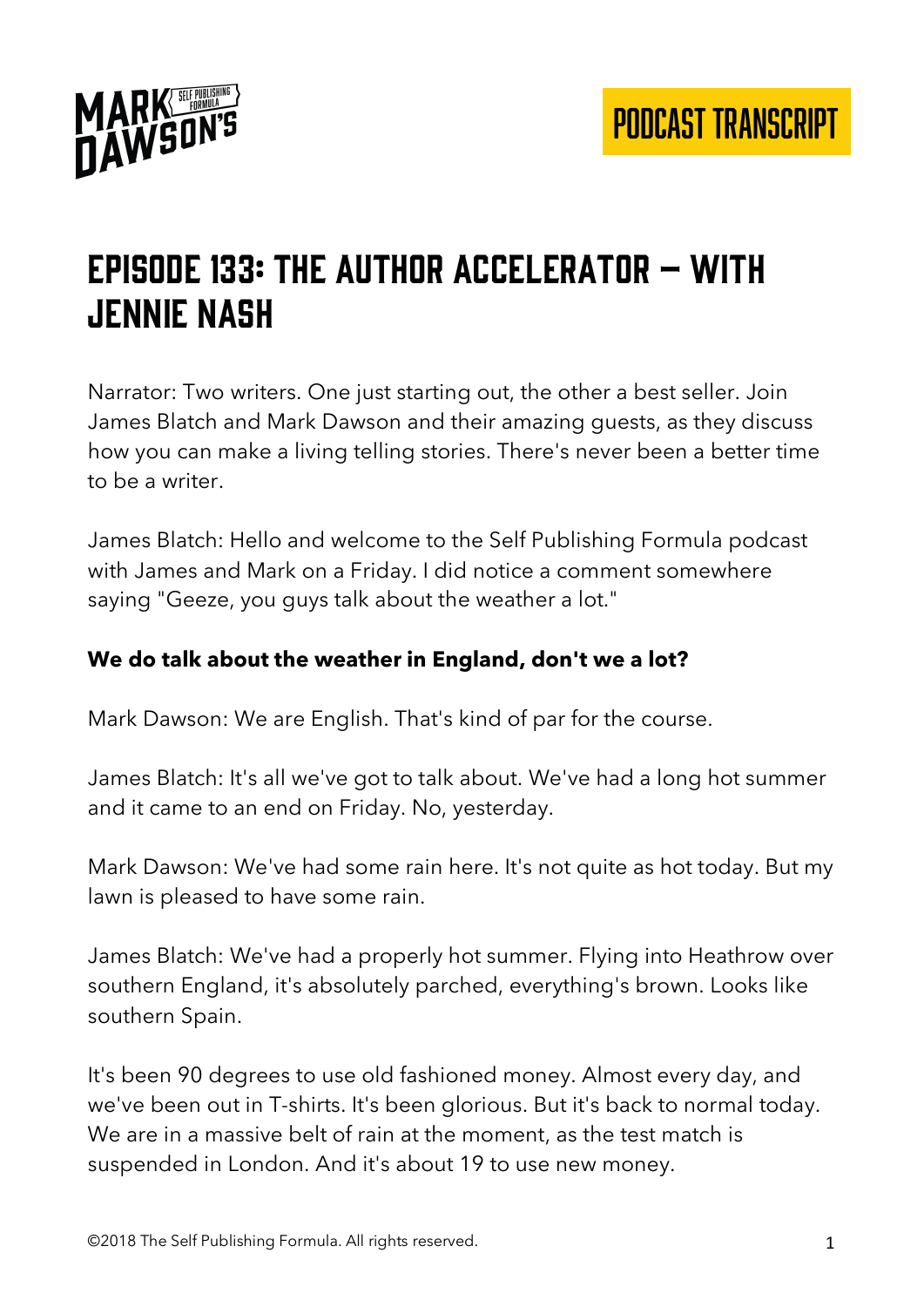

## Episode 133: The author accelerator – with Jennie nash

Narrator: Two writers. One just starting out, the other a best seller. Join James Blatch and Mark Dawson and their amazing guests, as they discuss how you can make a living telling stories. There's never been a better time to be a writer.

James Blatch: Hello and welcome to the Self Publishing Formula podcast with James and Mark on a Friday. I did notice a comment somewhere saying "Geeze, you guys talk about the weather a lot."

#### **We do talk about the weather in England, don't we a lot?**

Mark Dawson: We are English. That's kind of par for the course.

James Blatch: It's all we've got to talk about. We've had a long hot summer and it came to an end on Friday. No, yesterday.

Mark Dawson: We've had some rain here. It's not quite as hot today. But my lawn is pleased to have some rain.

James Blatch: We've had a properly hot summer. Flying into Heathrow over southern England, it's absolutely parched, everything's brown. Looks like southern Spain.

It's been 90 degrees to use old fashioned money. Almost every day, and we've been out in T-shirts. It's been glorious. But it's back to normal today. We are in a massive belt of rain at the moment, as the test match is suspended in London. And it's about 19 to use new money.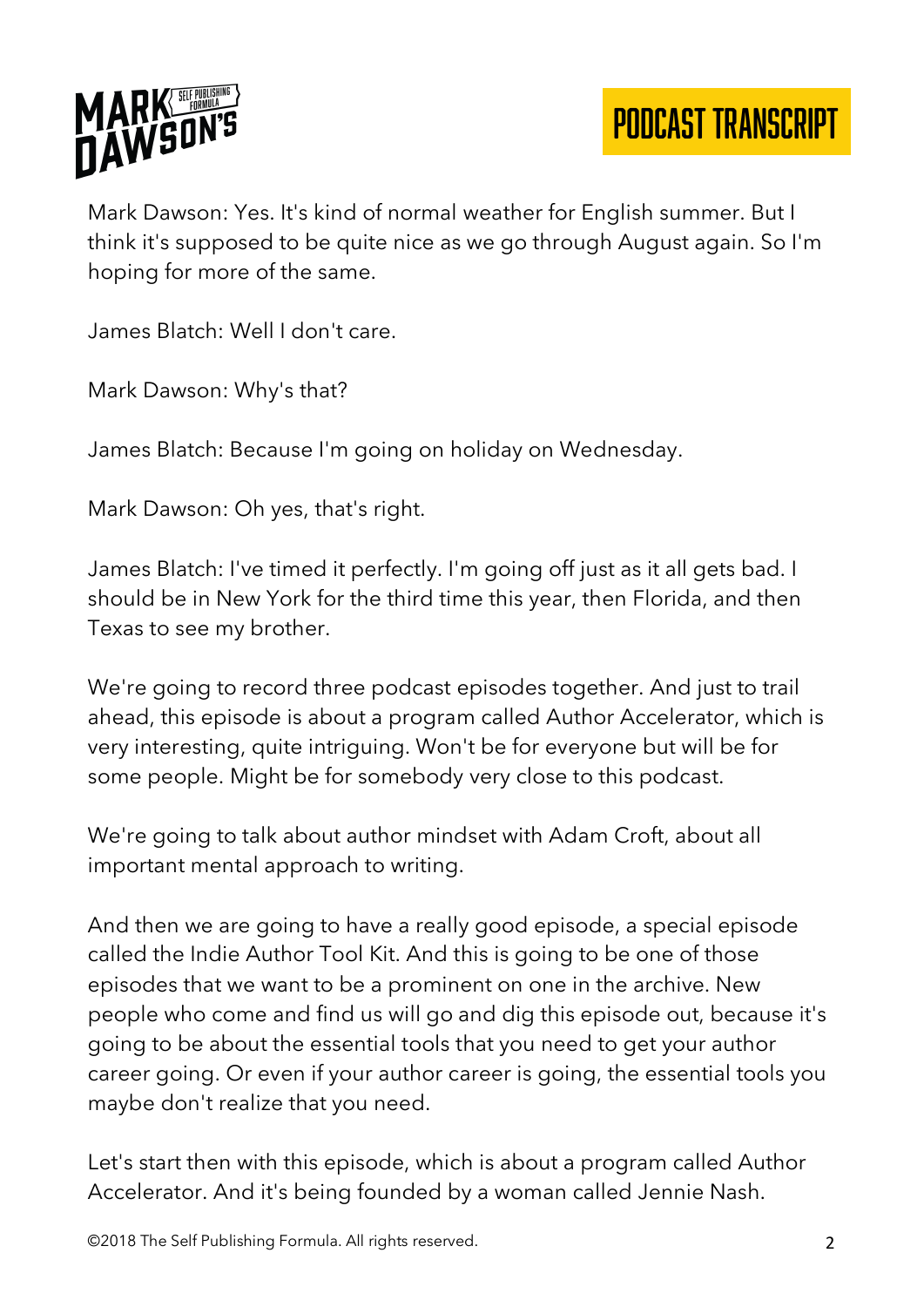

Mark Dawson: Yes. It's kind of normal weather for English summer. But I think it's supposed to be quite nice as we go through August again. So I'm hoping for more of the same.

James Blatch: Well I don't care.

Mark Dawson: Why's that?

James Blatch: Because I'm going on holiday on Wednesday.

Mark Dawson: Oh yes, that's right.

James Blatch: I've timed it perfectly. I'm going off just as it all gets bad. I should be in New York for the third time this year, then Florida, and then Texas to see my brother.

We're going to record three podcast episodes together. And just to trail ahead, this episode is about a program called Author Accelerator, which is very interesting, quite intriguing. Won't be for everyone but will be for some people. Might be for somebody very close to this podcast.

We're going to talk about author mindset with Adam Croft, about all important mental approach to writing.

And then we are going to have a really good episode, a special episode called the Indie Author Tool Kit. And this is going to be one of those episodes that we want to be a prominent on one in the archive. New people who come and find us will go and dig this episode out, because it's going to be about the essential tools that you need to get your author career going. Or even if your author career is going, the essential tools you maybe don't realize that you need.

Let's start then with this episode, which is about a program called Author Accelerator. And it's being founded by a woman called Jennie Nash.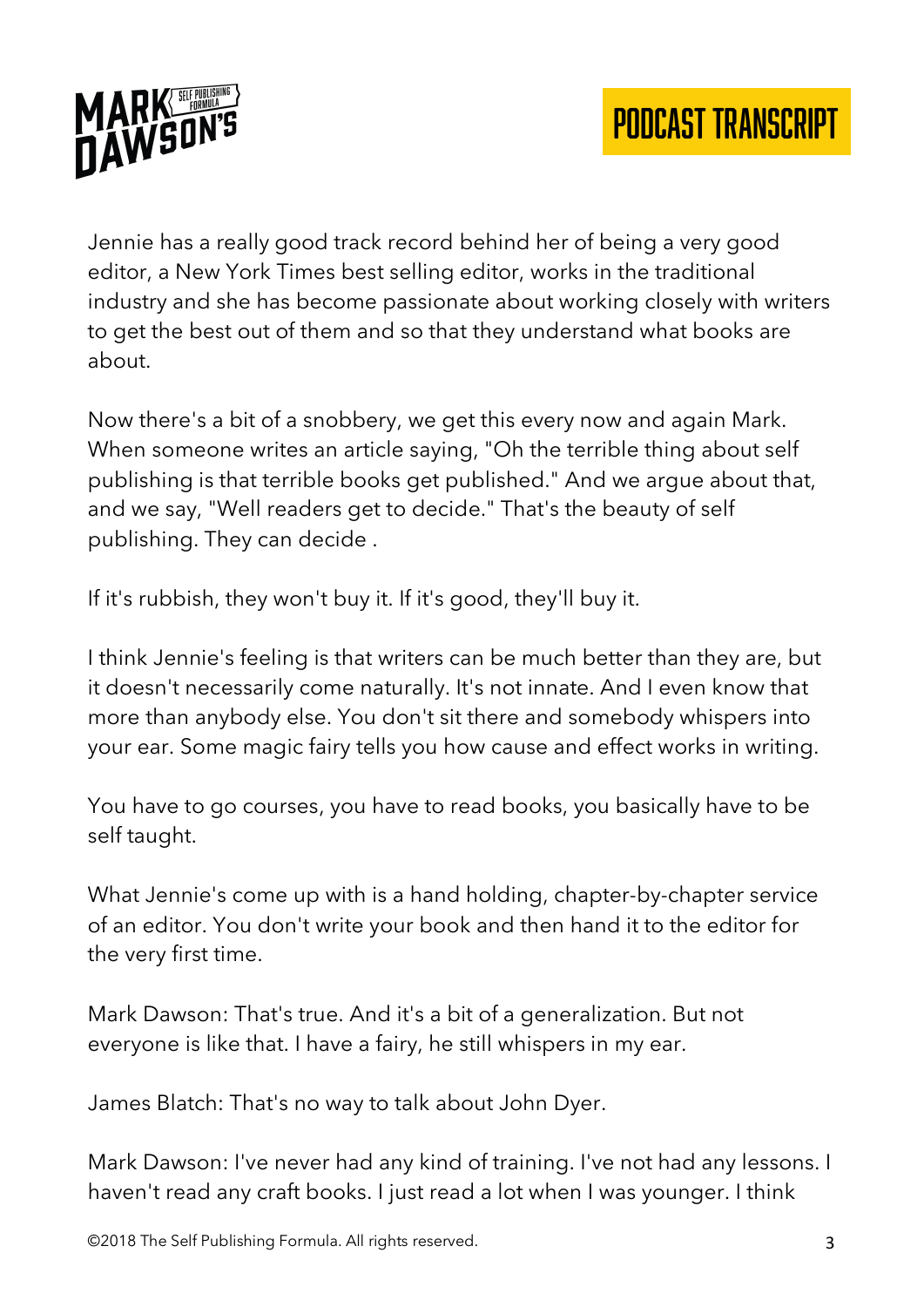

Jennie has a really good track record behind her of being a very good editor, a New York Times best selling editor, works in the traditional industry and she has become passionate about working closely with writers to get the best out of them and so that they understand what books are about.

Now there's a bit of a snobbery, we get this every now and again Mark. When someone writes an article saying, "Oh the terrible thing about self publishing is that terrible books get published." And we argue about that, and we say, "Well readers get to decide." That's the beauty of self publishing. They can decide .

If it's rubbish, they won't buy it. If it's good, they'll buy it.

I think Jennie's feeling is that writers can be much better than they are, but it doesn't necessarily come naturally. It's not innate. And I even know that more than anybody else. You don't sit there and somebody whispers into your ear. Some magic fairy tells you how cause and effect works in writing.

You have to go courses, you have to read books, you basically have to be self taught.

What Jennie's come up with is a hand holding, chapter-by-chapter service of an editor. You don't write your book and then hand it to the editor for the very first time.

Mark Dawson: That's true. And it's a bit of a generalization. But not everyone is like that. I have a fairy, he still whispers in my ear.

James Blatch: That's no way to talk about John Dyer.

Mark Dawson: I've never had any kind of training. I've not had any lessons. I haven't read any craft books. I just read a lot when I was younger. I think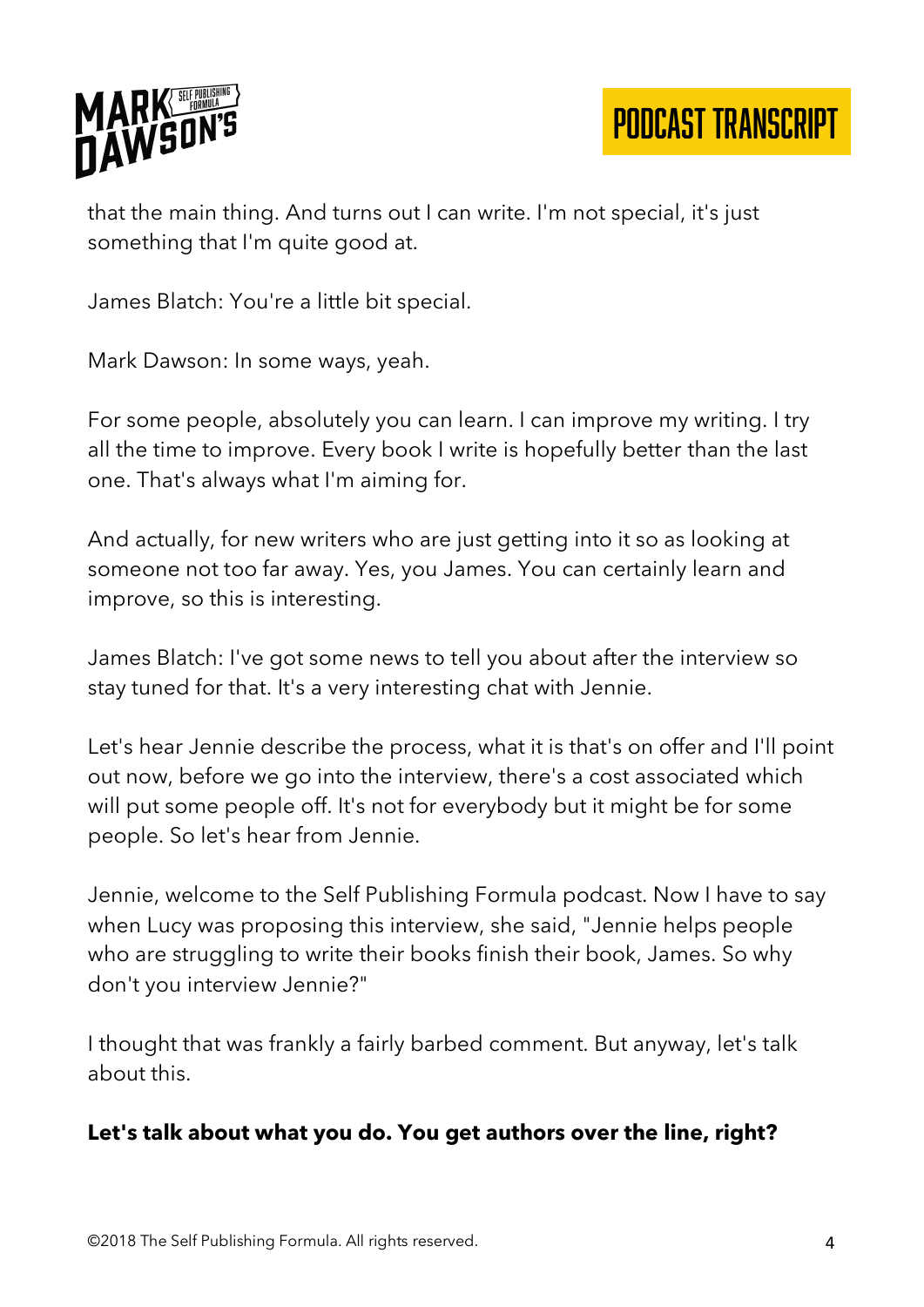

that the main thing. And turns out I can write. I'm not special, it's just something that I'm quite good at.

PODCAST TRANSCRIPT

James Blatch: You're a little bit special.

Mark Dawson: In some ways, yeah.

For some people, absolutely you can learn. I can improve my writing. I try all the time to improve. Every book I write is hopefully better than the last one. That's always what I'm aiming for.

And actually, for new writers who are just getting into it so as looking at someone not too far away. Yes, you James. You can certainly learn and improve, so this is interesting.

James Blatch: I've got some news to tell you about after the interview so stay tuned for that. It's a very interesting chat with Jennie.

Let's hear Jennie describe the process, what it is that's on offer and I'll point out now, before we go into the interview, there's a cost associated which will put some people off. It's not for everybody but it might be for some people. So let's hear from Jennie.

Jennie, welcome to the Self Publishing Formula podcast. Now I have to say when Lucy was proposing this interview, she said, "Jennie helps people who are struggling to write their books finish their book, James. So why don't you interview Jennie?"

I thought that was frankly a fairly barbed comment. But anyway, let's talk about this.

#### **Let's talk about what you do. You get authors over the line, right?**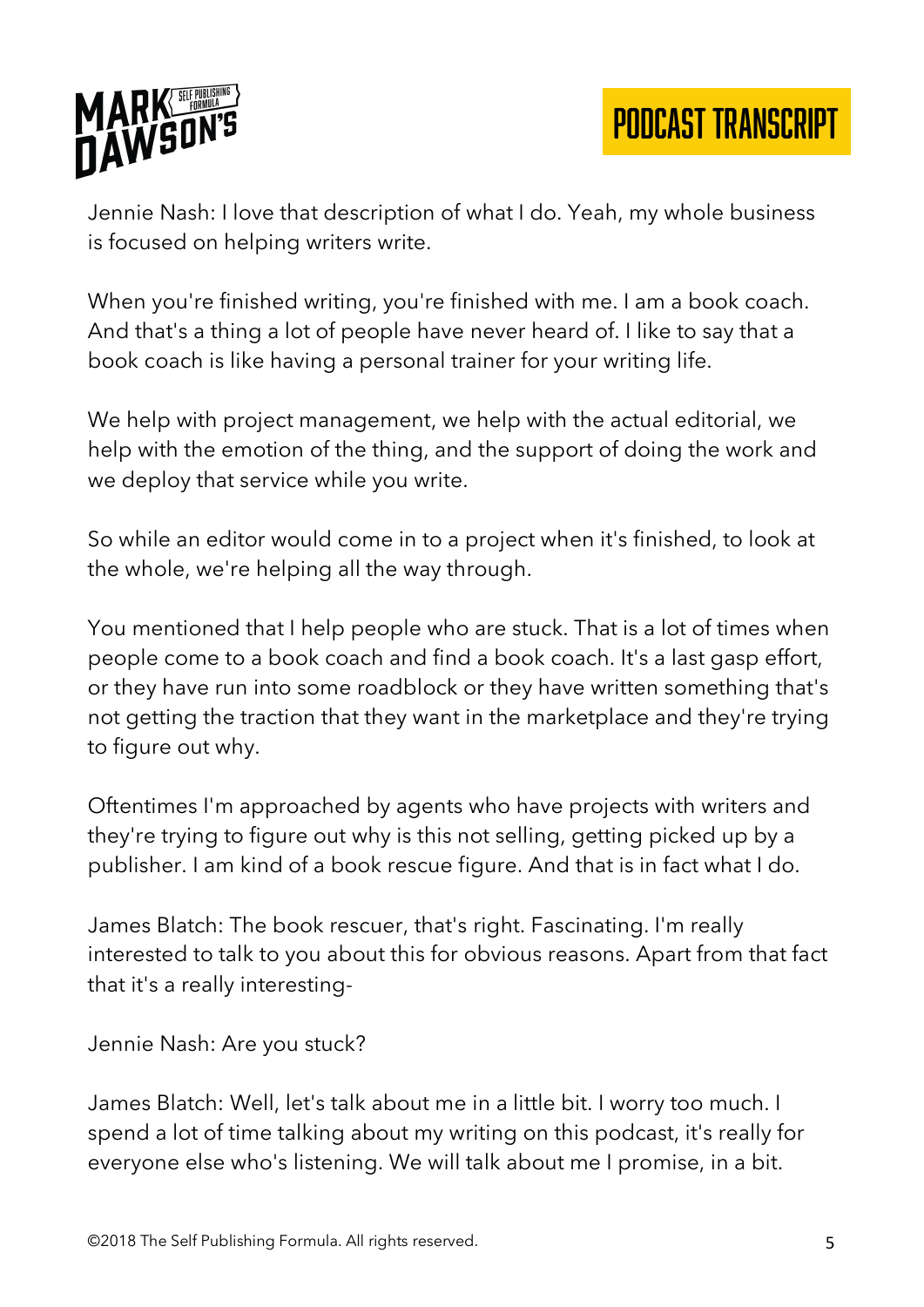

Jennie Nash: I love that description of what I do. Yeah, my whole business is focused on helping writers write.

When you're finished writing, you're finished with me. I am a book coach. And that's a thing a lot of people have never heard of. I like to say that a book coach is like having a personal trainer for your writing life.

We help with project management, we help with the actual editorial, we help with the emotion of the thing, and the support of doing the work and we deploy that service while you write.

So while an editor would come in to a project when it's finished, to look at the whole, we're helping all the way through.

You mentioned that I help people who are stuck. That is a lot of times when people come to a book coach and find a book coach. It's a last gasp effort, or they have run into some roadblock or they have written something that's not getting the traction that they want in the marketplace and they're trying to figure out why.

Oftentimes I'm approached by agents who have projects with writers and they're trying to figure out why is this not selling, getting picked up by a publisher. I am kind of a book rescue figure. And that is in fact what I do.

James Blatch: The book rescuer, that's right. Fascinating. I'm really interested to talk to you about this for obvious reasons. Apart from that fact that it's a really interesting-

Jennie Nash: Are you stuck?

James Blatch: Well, let's talk about me in a little bit. I worry too much. I spend a lot of time talking about my writing on this podcast, it's really for everyone else who's listening. We will talk about me I promise, in a bit.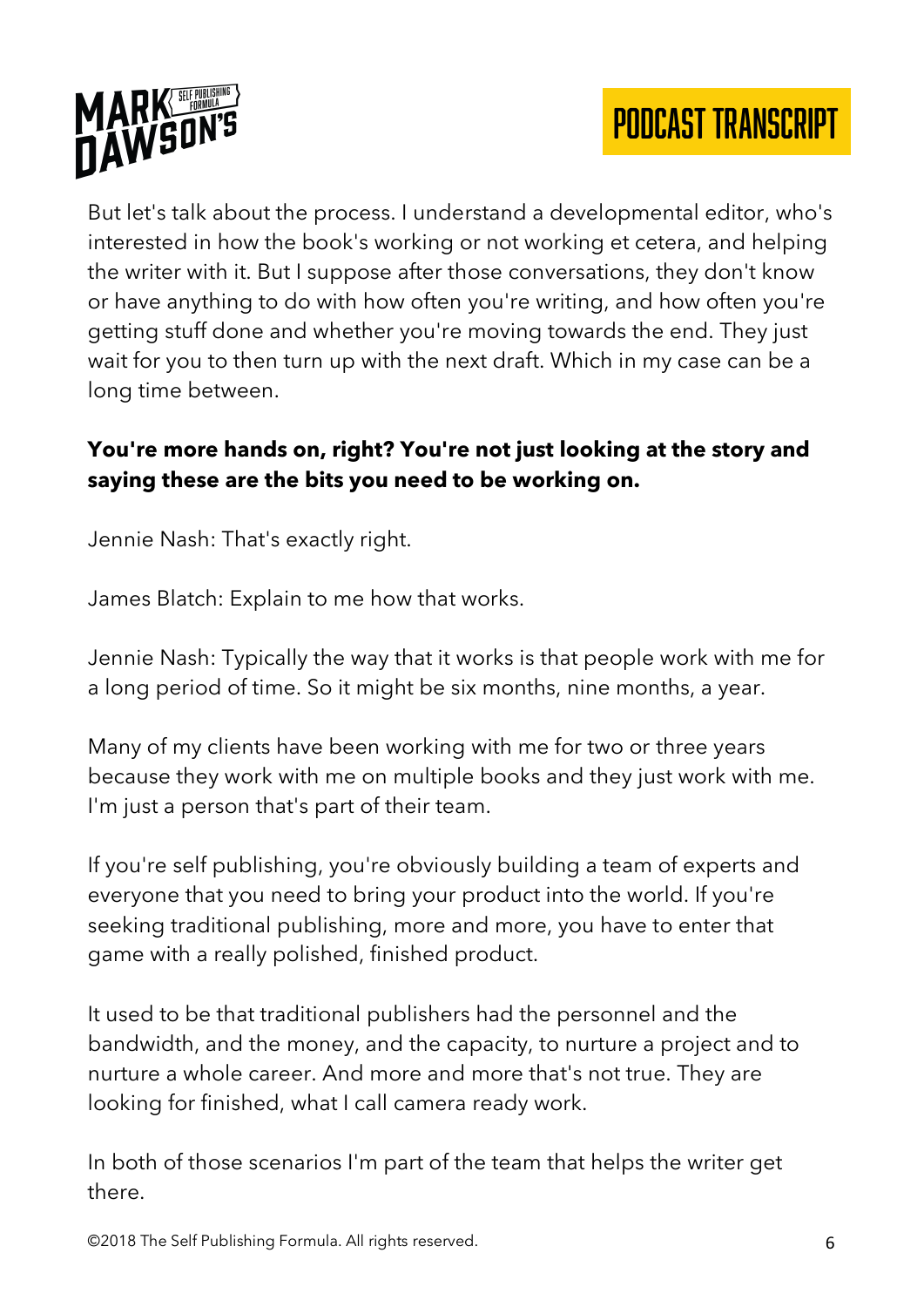



But let's talk about the process. I understand a developmental editor, who's interested in how the book's working or not working et cetera, and helping the writer with it. But I suppose after those conversations, they don't know or have anything to do with how often you're writing, and how often you're getting stuff done and whether you're moving towards the end. They just wait for you to then turn up with the next draft. Which in my case can be a long time between.

## **You're more hands on, right? You're not just looking at the story and saying these are the bits you need to be working on.**

Jennie Nash: That's exactly right.

James Blatch: Explain to me how that works.

Jennie Nash: Typically the way that it works is that people work with me for a long period of time. So it might be six months, nine months, a year.

Many of my clients have been working with me for two or three years because they work with me on multiple books and they just work with me. I'm just a person that's part of their team.

If you're self publishing, you're obviously building a team of experts and everyone that you need to bring your product into the world. If you're seeking traditional publishing, more and more, you have to enter that game with a really polished, finished product.

It used to be that traditional publishers had the personnel and the bandwidth, and the money, and the capacity, to nurture a project and to nurture a whole career. And more and more that's not true. They are looking for finished, what I call camera ready work.

In both of those scenarios I'm part of the team that helps the writer get there.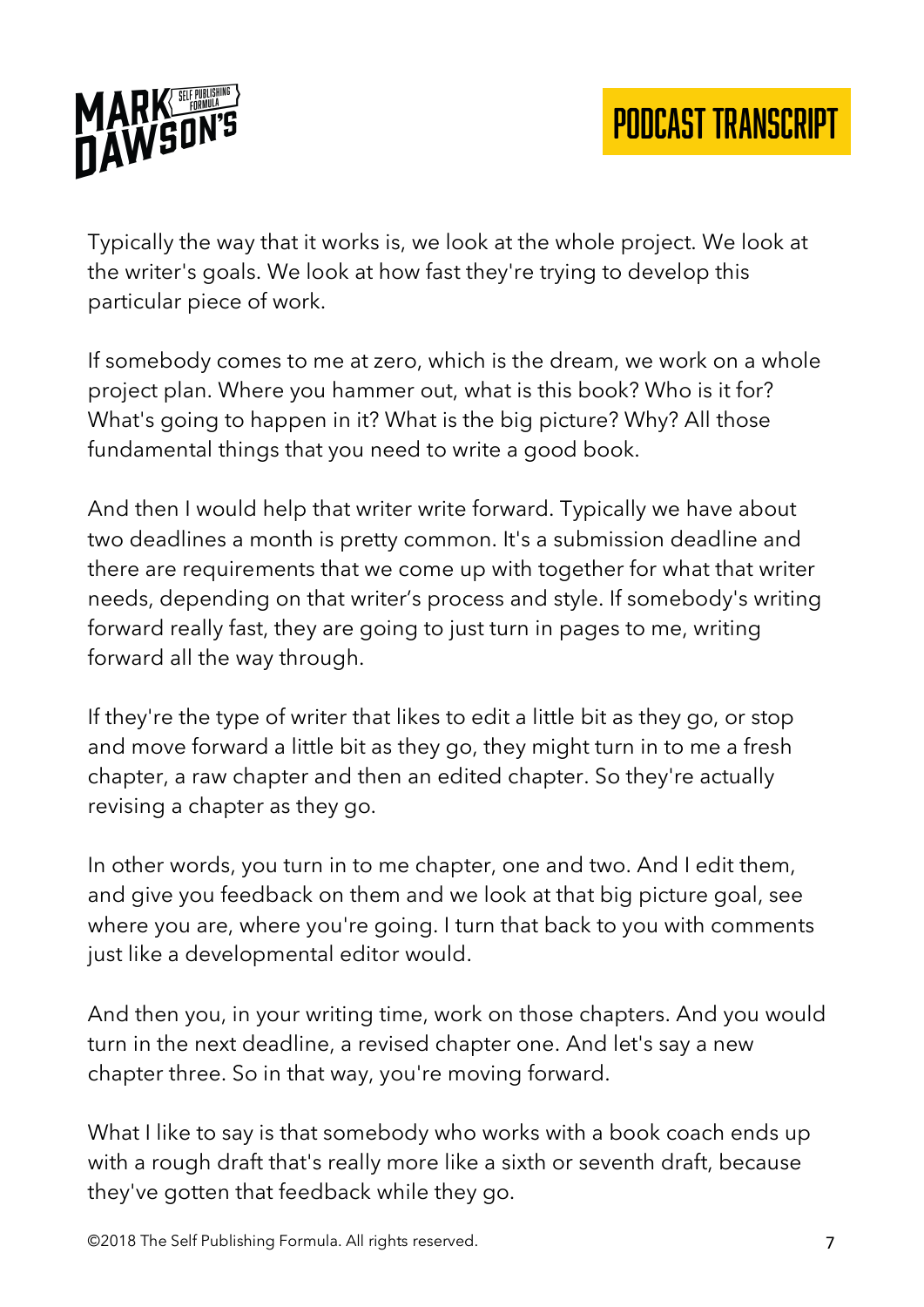

Typically the way that it works is, we look at the whole project. We look at the writer's goals. We look at how fast they're trying to develop this particular piece of work.

If somebody comes to me at zero, which is the dream, we work on a whole project plan. Where you hammer out, what is this book? Who is it for? What's going to happen in it? What is the big picture? Why? All those fundamental things that you need to write a good book.

And then I would help that writer write forward. Typically we have about two deadlines a month is pretty common. It's a submission deadline and there are requirements that we come up with together for what that writer needs, depending on that writer's process and style. If somebody's writing forward really fast, they are going to just turn in pages to me, writing forward all the way through.

If they're the type of writer that likes to edit a little bit as they go, or stop and move forward a little bit as they go, they might turn in to me a fresh chapter, a raw chapter and then an edited chapter. So they're actually revising a chapter as they go.

In other words, you turn in to me chapter, one and two. And I edit them, and give you feedback on them and we look at that big picture goal, see where you are, where you're going. I turn that back to you with comments just like a developmental editor would.

And then you, in your writing time, work on those chapters. And you would turn in the next deadline, a revised chapter one. And let's say a new chapter three. So in that way, you're moving forward.

What I like to say is that somebody who works with a book coach ends up with a rough draft that's really more like a sixth or seventh draft, because they've gotten that feedback while they go.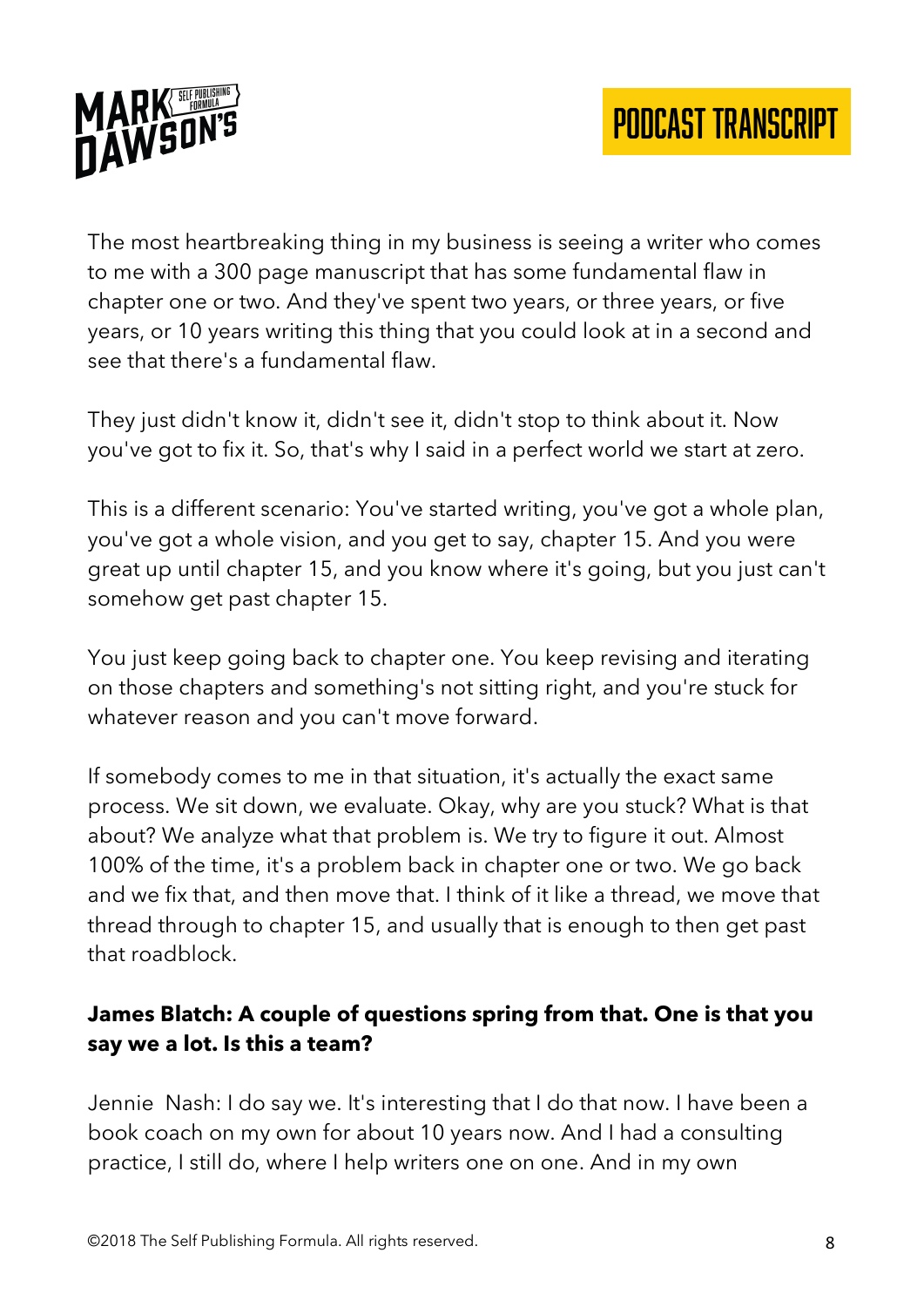

The most heartbreaking thing in my business is seeing a writer who comes to me with a 300 page manuscript that has some fundamental flaw in chapter one or two. And they've spent two years, or three years, or five years, or 10 years writing this thing that you could look at in a second and see that there's a fundamental flaw.

They just didn't know it, didn't see it, didn't stop to think about it. Now you've got to fix it. So, that's why I said in a perfect world we start at zero.

This is a different scenario: You've started writing, you've got a whole plan, you've got a whole vision, and you get to say, chapter 15. And you were great up until chapter 15, and you know where it's going, but you just can't somehow get past chapter 15.

You just keep going back to chapter one. You keep revising and iterating on those chapters and something's not sitting right, and you're stuck for whatever reason and you can't move forward.

If somebody comes to me in that situation, it's actually the exact same process. We sit down, we evaluate. Okay, why are you stuck? What is that about? We analyze what that problem is. We try to figure it out. Almost 100% of the time, it's a problem back in chapter one or two. We go back and we fix that, and then move that. I think of it like a thread, we move that thread through to chapter 15, and usually that is enough to then get past that roadblock.

### **James Blatch: A couple of questions spring from that. One is that you say we a lot. Is this a team?**

Jennie Nash: I do say we. It's interesting that I do that now. I have been a book coach on my own for about 10 years now. And I had a consulting practice, I still do, where I help writers one on one. And in my own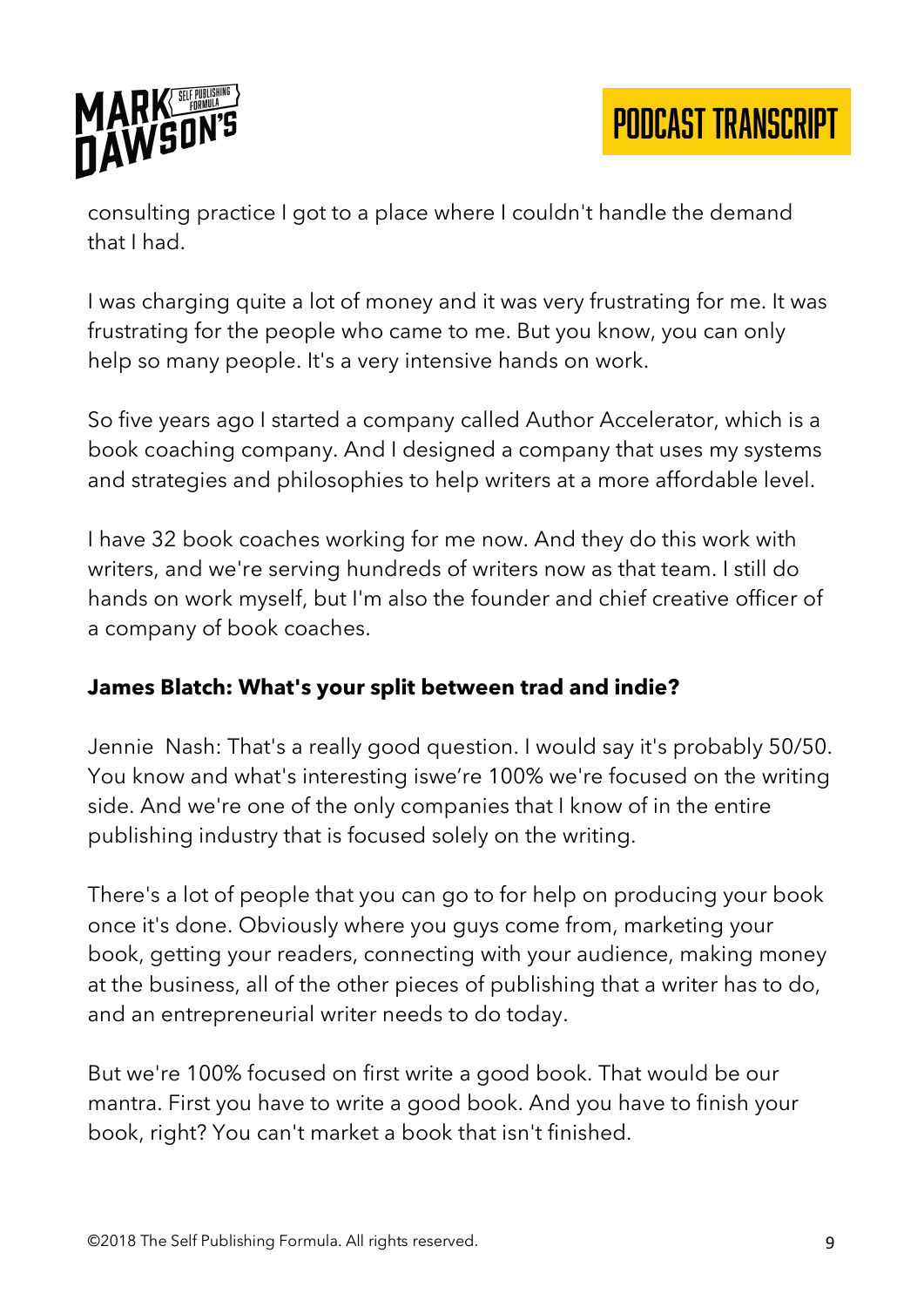

consulting practice I got to a place where I couldn't handle the demand that I had.

I was charging quite a lot of money and it was very frustrating for me. It was frustrating for the people who came to me. But you know, you can only help so many people. It's a very intensive hands on work.

So five years ago I started a company called Author Accelerator, which is a book coaching company. And I designed a company that uses my systems and strategies and philosophies to help writers at a more affordable level.

I have 32 book coaches working for me now. And they do this work with writers, and we're serving hundreds of writers now as that team. I still do hands on work myself, but I'm also the founder and chief creative officer of a company of book coaches.

#### **James Blatch: What's your split between trad and indie?**

Jennie Nash: That's a really good question. I would say it's probably 50/50. You know and what's interesting iswe're 100% we're focused on the writing side. And we're one of the only companies that I know of in the entire publishing industry that is focused solely on the writing.

There's a lot of people that you can go to for help on producing your book once it's done. Obviously where you guys come from, marketing your book, getting your readers, connecting with your audience, making money at the business, all of the other pieces of publishing that a writer has to do, and an entrepreneurial writer needs to do today.

But we're 100% focused on first write a good book. That would be our mantra. First you have to write a good book. And you have to finish your book, right? You can't market a book that isn't finished.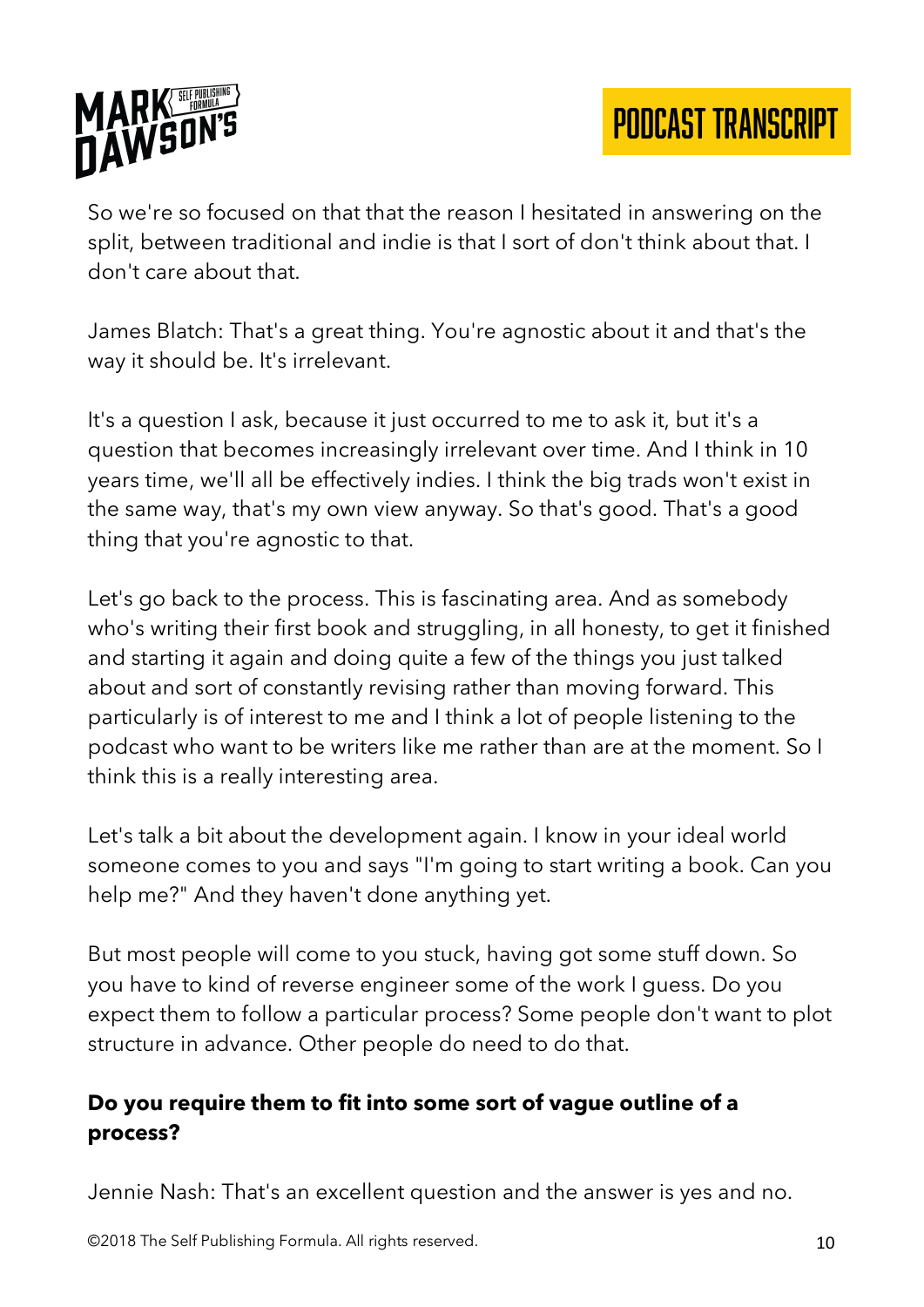

So we're so focused on that that the reason I hesitated in answering on the split, between traditional and indie is that I sort of don't think about that. I don't care about that.

James Blatch: That's a great thing. You're agnostic about it and that's the way it should be. It's irrelevant.

It's a question I ask, because it just occurred to me to ask it, but it's a question that becomes increasingly irrelevant over time. And I think in 10 years time, we'll all be effectively indies. I think the big trads won't exist in the same way, that's my own view anyway. So that's good. That's a good thing that you're agnostic to that.

Let's go back to the process. This is fascinating area. And as somebody who's writing their first book and struggling, in all honesty, to get it finished and starting it again and doing quite a few of the things you just talked about and sort of constantly revising rather than moving forward. This particularly is of interest to me and I think a lot of people listening to the podcast who want to be writers like me rather than are at the moment. So I think this is a really interesting area.

Let's talk a bit about the development again. I know in your ideal world someone comes to you and says "I'm going to start writing a book. Can you help me?" And they haven't done anything yet.

But most people will come to you stuck, having got some stuff down. So you have to kind of reverse engineer some of the work I guess. Do you expect them to follow a particular process? Some people don't want to plot structure in advance. Other people do need to do that.

### **Do you require them to fit into some sort of vague outline of a process?**

Jennie Nash: That's an excellent question and the answer is yes and no.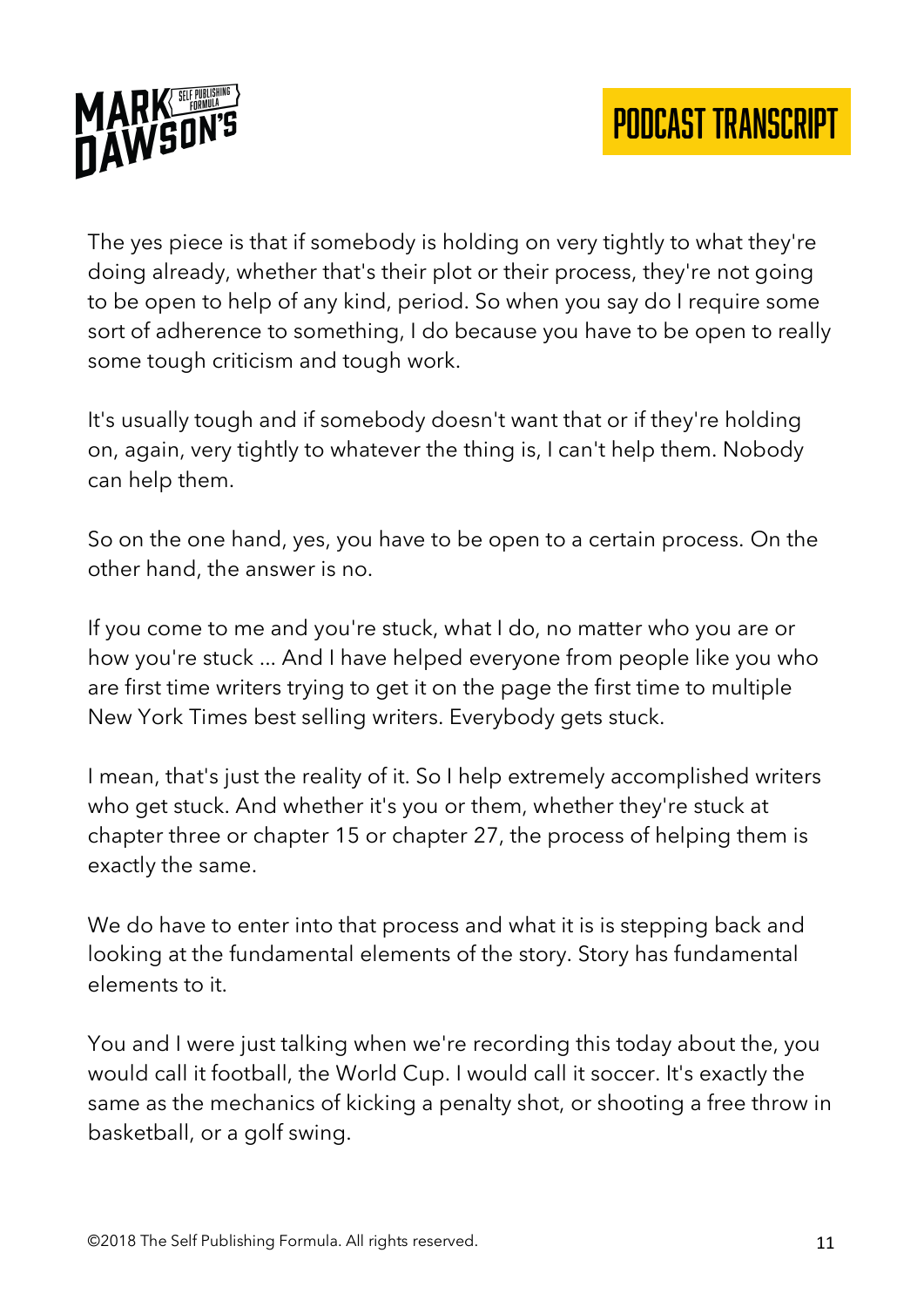

The yes piece is that if somebody is holding on very tightly to what they're doing already, whether that's their plot or their process, they're not going to be open to help of any kind, period. So when you say do I require some sort of adherence to something, I do because you have to be open to really some tough criticism and tough work.

It's usually tough and if somebody doesn't want that or if they're holding on, again, very tightly to whatever the thing is, I can't help them. Nobody can help them.

So on the one hand, yes, you have to be open to a certain process. On the other hand, the answer is no.

If you come to me and you're stuck, what I do, no matter who you are or how you're stuck ... And I have helped everyone from people like you who are first time writers trying to get it on the page the first time to multiple New York Times best selling writers. Everybody gets stuck.

I mean, that's just the reality of it. So I help extremely accomplished writers who get stuck. And whether it's you or them, whether they're stuck at chapter three or chapter 15 or chapter 27, the process of helping them is exactly the same.

We do have to enter into that process and what it is is stepping back and looking at the fundamental elements of the story. Story has fundamental elements to it.

You and I were just talking when we're recording this today about the, you would call it football, the World Cup. I would call it soccer. It's exactly the same as the mechanics of kicking a penalty shot, or shooting a free throw in basketball, or a golf swing.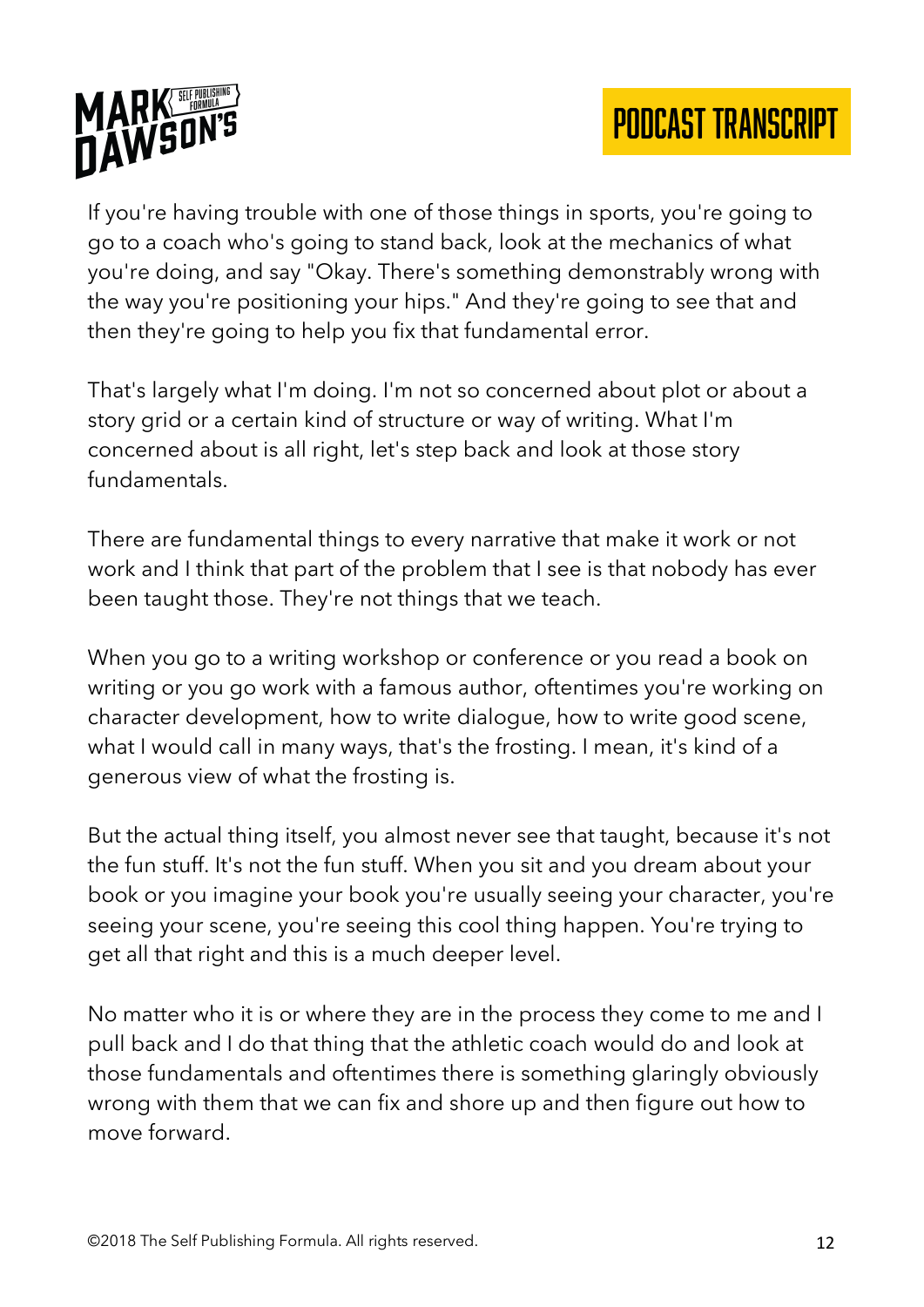

If you're having trouble with one of those things in sports, you're going to go to a coach who's going to stand back, look at the mechanics of what you're doing, and say "Okay. There's something demonstrably wrong with the way you're positioning your hips." And they're going to see that and then they're going to help you fix that fundamental error.

That's largely what I'm doing. I'm not so concerned about plot or about a story grid or a certain kind of structure or way of writing. What I'm concerned about is all right, let's step back and look at those story fundamentals.

There are fundamental things to every narrative that make it work or not work and I think that part of the problem that I see is that nobody has ever been taught those. They're not things that we teach.

When you go to a writing workshop or conference or you read a book on writing or you go work with a famous author, oftentimes you're working on character development, how to write dialogue, how to write good scene, what I would call in many ways, that's the frosting. I mean, it's kind of a generous view of what the frosting is.

But the actual thing itself, you almost never see that taught, because it's not the fun stuff. It's not the fun stuff. When you sit and you dream about your book or you imagine your book you're usually seeing your character, you're seeing your scene, you're seeing this cool thing happen. You're trying to get all that right and this is a much deeper level.

No matter who it is or where they are in the process they come to me and I pull back and I do that thing that the athletic coach would do and look at those fundamentals and oftentimes there is something glaringly obviously wrong with them that we can fix and shore up and then figure out how to move forward.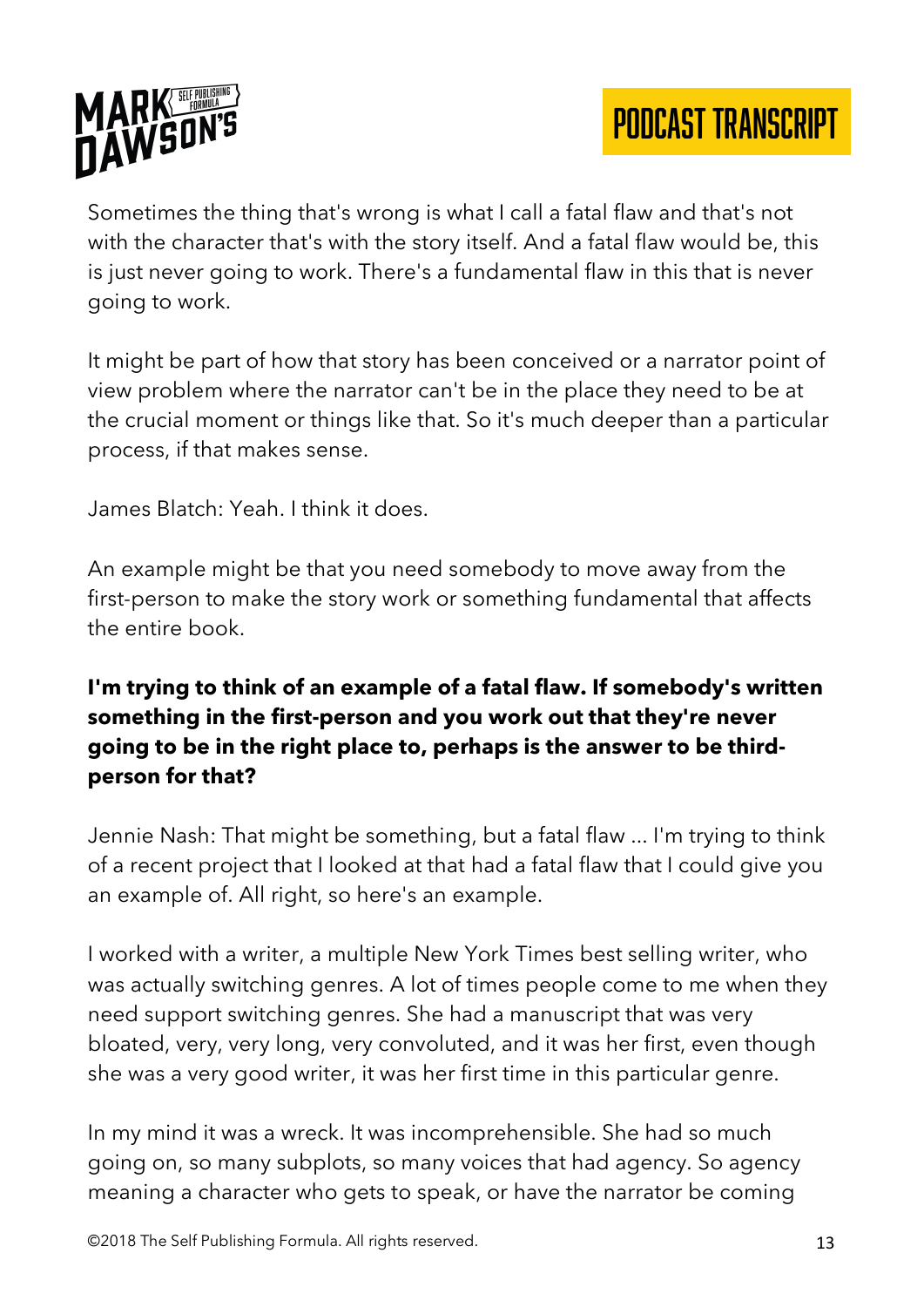

Sometimes the thing that's wrong is what I call a fatal flaw and that's not with the character that's with the story itself. And a fatal flaw would be, this is just never going to work. There's a fundamental flaw in this that is never going to work.

It might be part of how that story has been conceived or a narrator point of view problem where the narrator can't be in the place they need to be at the crucial moment or things like that. So it's much deeper than a particular process, if that makes sense.

James Blatch: Yeah. I think it does.

An example might be that you need somebody to move away from the first-person to make the story work or something fundamental that affects the entire book.

## **I'm trying to think of an example of a fatal flaw. If somebody's written something in the first-person and you work out that they're never going to be in the right place to, perhaps is the answer to be thirdperson for that?**

Jennie Nash: That might be something, but a fatal flaw ... I'm trying to think of a recent project that I looked at that had a fatal flaw that I could give you an example of. All right, so here's an example.

I worked with a writer, a multiple New York Times best selling writer, who was actually switching genres. A lot of times people come to me when they need support switching genres. She had a manuscript that was very bloated, very, very long, very convoluted, and it was her first, even though she was a very good writer, it was her first time in this particular genre.

In my mind it was a wreck. It was incomprehensible. She had so much going on, so many subplots, so many voices that had agency. So agency meaning a character who gets to speak, or have the narrator be coming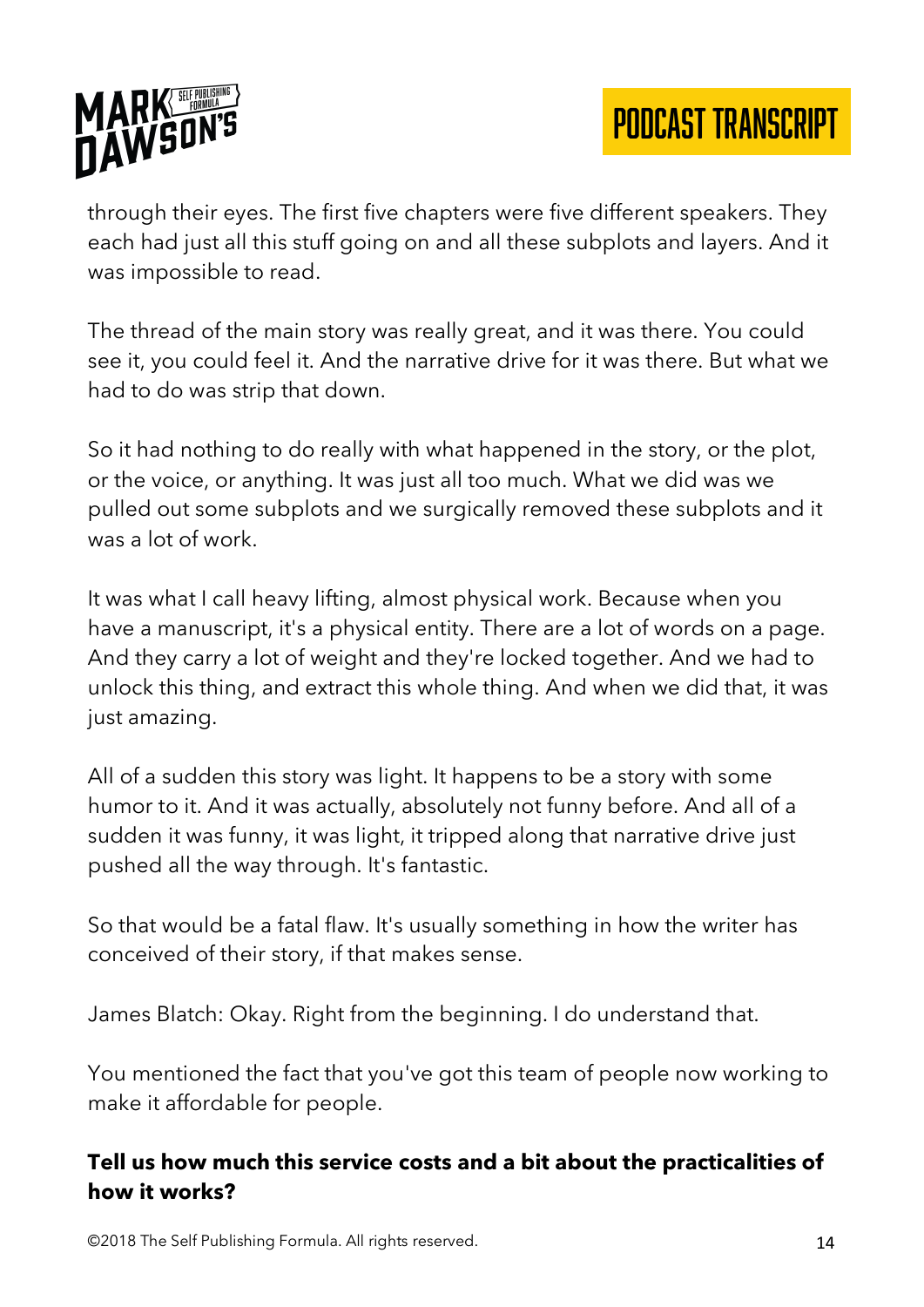

through their eyes. The first five chapters were five different speakers. They each had just all this stuff going on and all these subplots and layers. And it was impossible to read.

The thread of the main story was really great, and it was there. You could see it, you could feel it. And the narrative drive for it was there. But what we had to do was strip that down.

So it had nothing to do really with what happened in the story, or the plot, or the voice, or anything. It was just all too much. What we did was we pulled out some subplots and we surgically removed these subplots and it was a lot of work.

It was what I call heavy lifting, almost physical work. Because when you have a manuscript, it's a physical entity. There are a lot of words on a page. And they carry a lot of weight and they're locked together. And we had to unlock this thing, and extract this whole thing. And when we did that, it was just amazing.

All of a sudden this story was light. It happens to be a story with some humor to it. And it was actually, absolutely not funny before. And all of a sudden it was funny, it was light, it tripped along that narrative drive just pushed all the way through. It's fantastic.

So that would be a fatal flaw. It's usually something in how the writer has conceived of their story, if that makes sense.

James Blatch: Okay. Right from the beginning. I do understand that.

You mentioned the fact that you've got this team of people now working to make it affordable for people.

#### **Tell us how much this service costs and a bit about the practicalities of how it works?**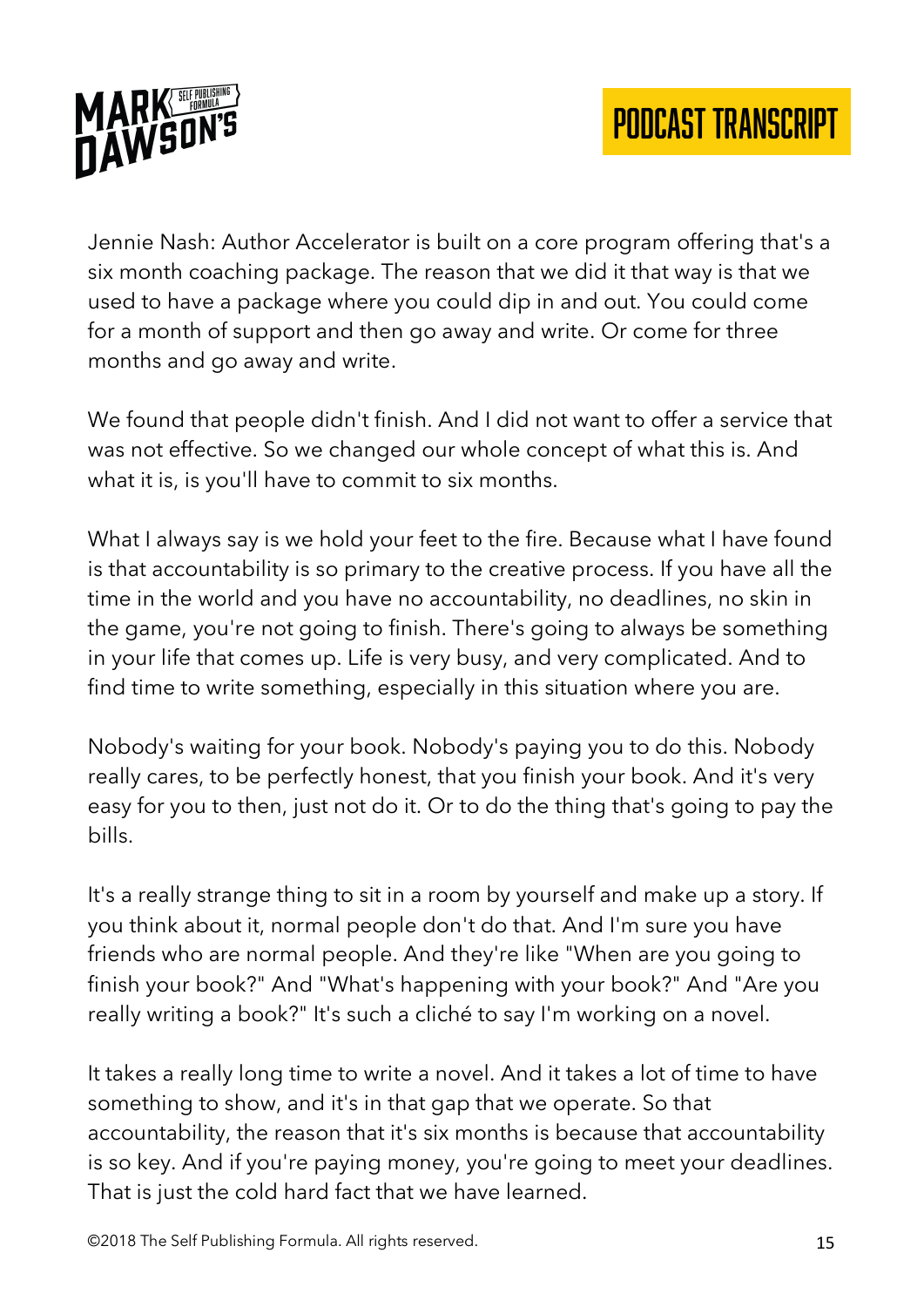

Jennie Nash: Author Accelerator is built on a core program offering that's a six month coaching package. The reason that we did it that way is that we used to have a package where you could dip in and out. You could come for a month of support and then go away and write. Or come for three months and go away and write.

We found that people didn't finish. And I did not want to offer a service that was not effective. So we changed our whole concept of what this is. And what it is, is you'll have to commit to six months.

What I always say is we hold your feet to the fire. Because what I have found is that accountability is so primary to the creative process. If you have all the time in the world and you have no accountability, no deadlines, no skin in the game, you're not going to finish. There's going to always be something in your life that comes up. Life is very busy, and very complicated. And to find time to write something, especially in this situation where you are.

Nobody's waiting for your book. Nobody's paying you to do this. Nobody really cares, to be perfectly honest, that you finish your book. And it's very easy for you to then, just not do it. Or to do the thing that's going to pay the bills.

It's a really strange thing to sit in a room by yourself and make up a story. If you think about it, normal people don't do that. And I'm sure you have friends who are normal people. And they're like "When are you going to finish your book?" And "What's happening with your book?" And "Are you really writing a book?" It's such a cliché to say I'm working on a novel.

It takes a really long time to write a novel. And it takes a lot of time to have something to show, and it's in that gap that we operate. So that accountability, the reason that it's six months is because that accountability is so key. And if you're paying money, you're going to meet your deadlines. That is just the cold hard fact that we have learned.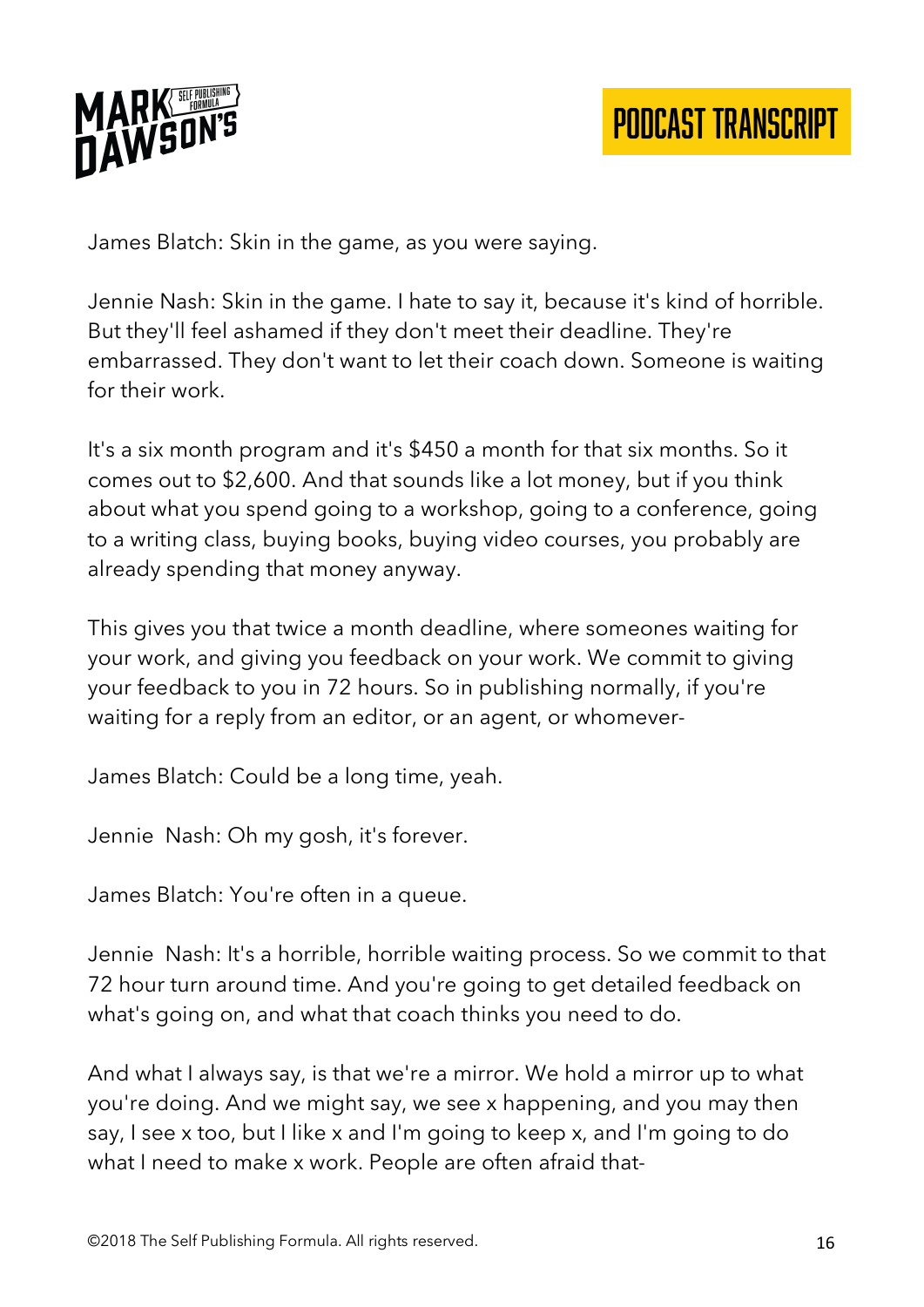

James Blatch: Skin in the game, as you were saying.

Jennie Nash: Skin in the game. I hate to say it, because it's kind of horrible. But they'll feel ashamed if they don't meet their deadline. They're embarrassed. They don't want to let their coach down. Someone is waiting for their work.

It's a six month program and it's \$450 a month for that six months. So it comes out to \$2,600. And that sounds like a lot money, but if you think about what you spend going to a workshop, going to a conference, going to a writing class, buying books, buying video courses, you probably are already spending that money anyway.

This gives you that twice a month deadline, where someones waiting for your work, and giving you feedback on your work. We commit to giving your feedback to you in 72 hours. So in publishing normally, if you're waiting for a reply from an editor, or an agent, or whomever-

James Blatch: Could be a long time, yeah.

Jennie Nash: Oh my gosh, it's forever.

James Blatch: You're often in a queue.

Jennie Nash: It's a horrible, horrible waiting process. So we commit to that 72 hour turn around time. And you're going to get detailed feedback on what's going on, and what that coach thinks you need to do.

And what I always say, is that we're a mirror. We hold a mirror up to what you're doing. And we might say, we see x happening, and you may then say, I see x too, but I like x and I'm going to keep x, and I'm going to do what I need to make x work. People are often afraid that-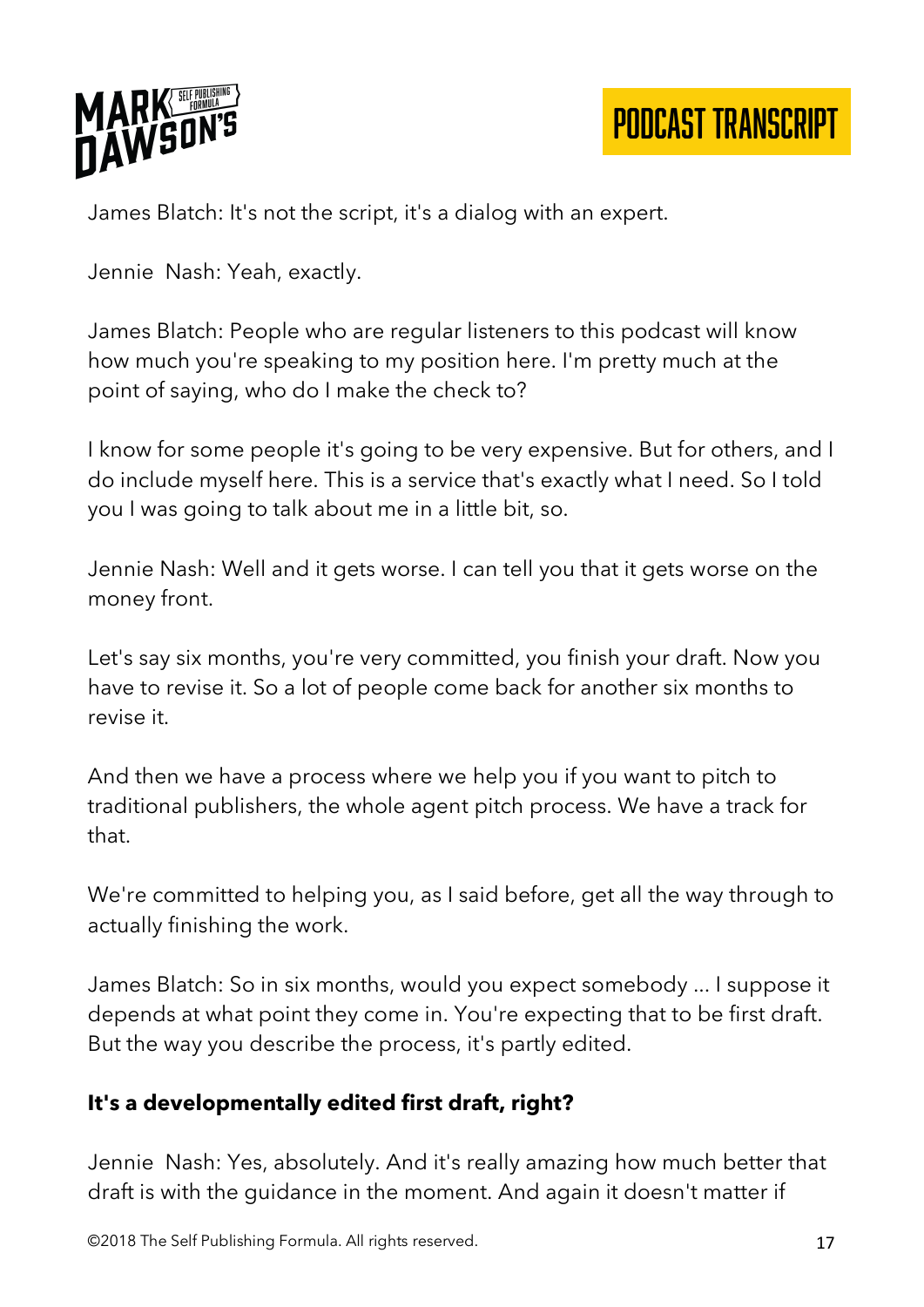

James Blatch: It's not the script, it's a dialog with an expert.

Jennie Nash: Yeah, exactly.

James Blatch: People who are regular listeners to this podcast will know how much you're speaking to my position here. I'm pretty much at the point of saying, who do I make the check to?

I know for some people it's going to be very expensive. But for others, and I do include myself here. This is a service that's exactly what I need. So I told you I was going to talk about me in a little bit, so.

Jennie Nash: Well and it gets worse. I can tell you that it gets worse on the money front.

Let's say six months, you're very committed, you finish your draft. Now you have to revise it. So a lot of people come back for another six months to revise it.

And then we have a process where we help you if you want to pitch to traditional publishers, the whole agent pitch process. We have a track for that.

We're committed to helping you, as I said before, get all the way through to actually finishing the work.

James Blatch: So in six months, would you expect somebody ... I suppose it depends at what point they come in. You're expecting that to be first draft. But the way you describe the process, it's partly edited.

#### **It's a developmentally edited first draft, right?**

Jennie Nash: Yes, absolutely. And it's really amazing how much better that draft is with the guidance in the moment. And again it doesn't matter if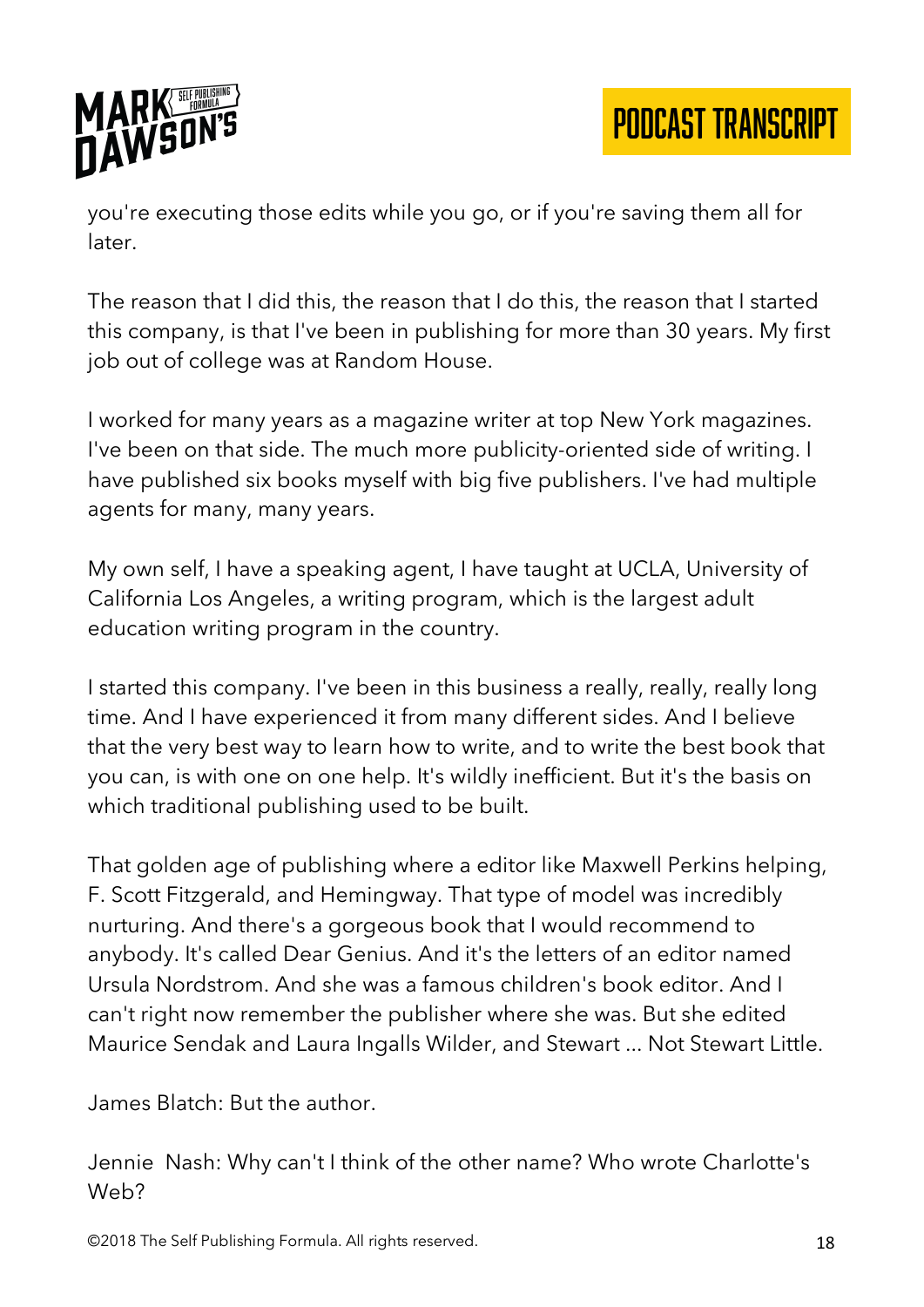

you're executing those edits while you go, or if you're saving them all for later.

The reason that I did this, the reason that I do this, the reason that I started this company, is that I've been in publishing for more than 30 years. My first job out of college was at Random House.

I worked for many years as a magazine writer at top New York magazines. I've been on that side. The much more publicity-oriented side of writing. I have published six books myself with big five publishers. I've had multiple agents for many, many years.

My own self, I have a speaking agent, I have taught at UCLA, University of California Los Angeles, a writing program, which is the largest adult education writing program in the country.

I started this company. I've been in this business a really, really, really long time. And I have experienced it from many different sides. And I believe that the very best way to learn how to write, and to write the best book that you can, is with one on one help. It's wildly inefficient. But it's the basis on which traditional publishing used to be built.

That golden age of publishing where a editor like Maxwell Perkins helping, F. Scott Fitzgerald, and Hemingway. That type of model was incredibly nurturing. And there's a gorgeous book that I would recommend to anybody. It's called Dear Genius. And it's the letters of an editor named Ursula Nordstrom. And she was a famous children's book editor. And I can't right now remember the publisher where she was. But she edited Maurice Sendak and Laura Ingalls Wilder, and Stewart ... Not Stewart Little.

James Blatch: But the author.

Jennie Nash: Why can't I think of the other name? Who wrote Charlotte's Web?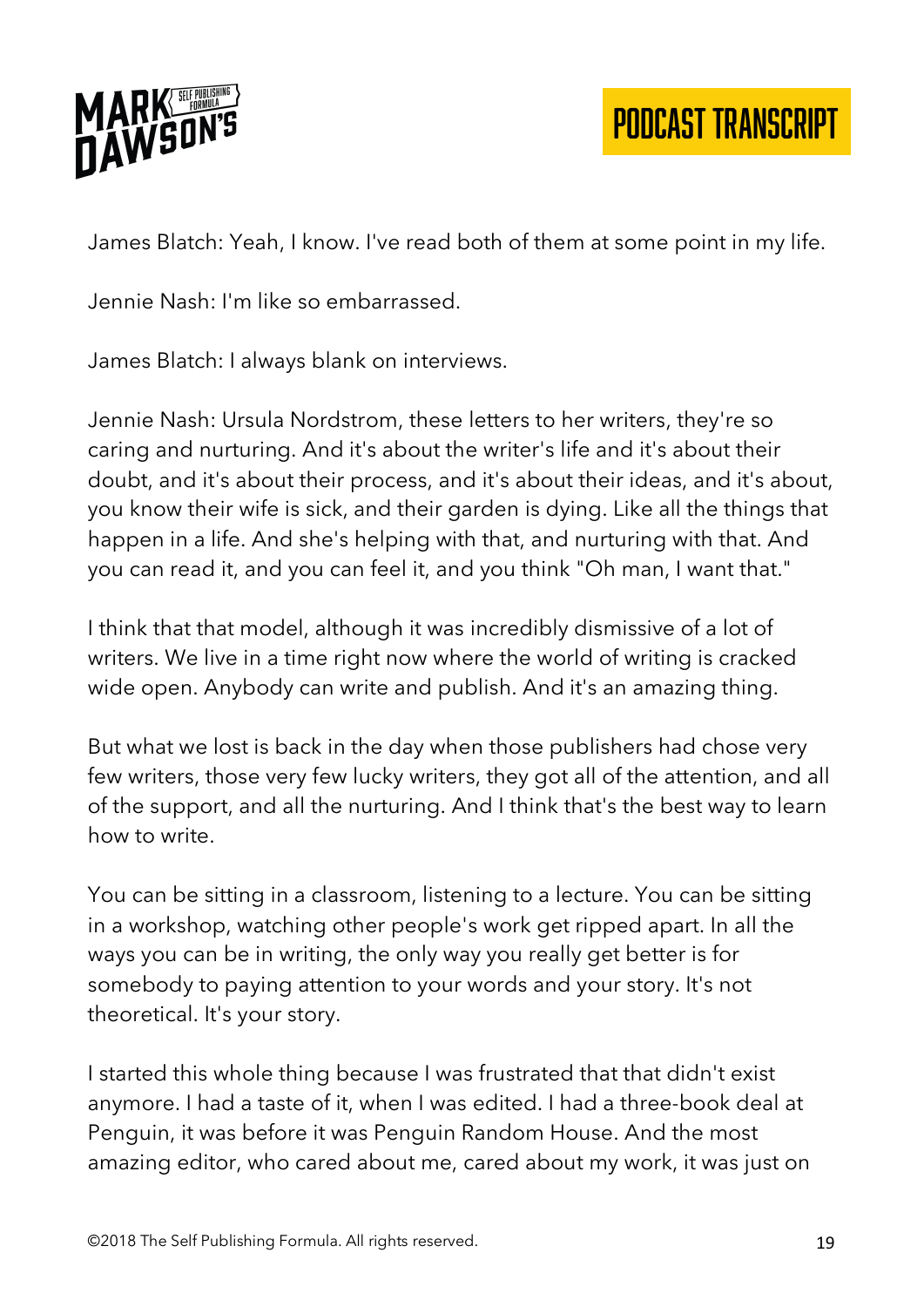

James Blatch: Yeah, I know. I've read both of them at some point in my life.

Jennie Nash: I'm like so embarrassed.

James Blatch: I always blank on interviews.

Jennie Nash: Ursula Nordstrom, these letters to her writers, they're so caring and nurturing. And it's about the writer's life and it's about their doubt, and it's about their process, and it's about their ideas, and it's about, you know their wife is sick, and their garden is dying. Like all the things that happen in a life. And she's helping with that, and nurturing with that. And you can read it, and you can feel it, and you think "Oh man, I want that."

I think that that model, although it was incredibly dismissive of a lot of writers. We live in a time right now where the world of writing is cracked wide open. Anybody can write and publish. And it's an amazing thing.

But what we lost is back in the day when those publishers had chose very few writers, those very few lucky writers, they got all of the attention, and all of the support, and all the nurturing. And I think that's the best way to learn how to write.

You can be sitting in a classroom, listening to a lecture. You can be sitting in a workshop, watching other people's work get ripped apart. In all the ways you can be in writing, the only way you really get better is for somebody to paying attention to your words and your story. It's not theoretical. It's your story.

I started this whole thing because I was frustrated that that didn't exist anymore. I had a taste of it, when I was edited. I had a three-book deal at Penguin, it was before it was Penguin Random House. And the most amazing editor, who cared about me, cared about my work, it was just on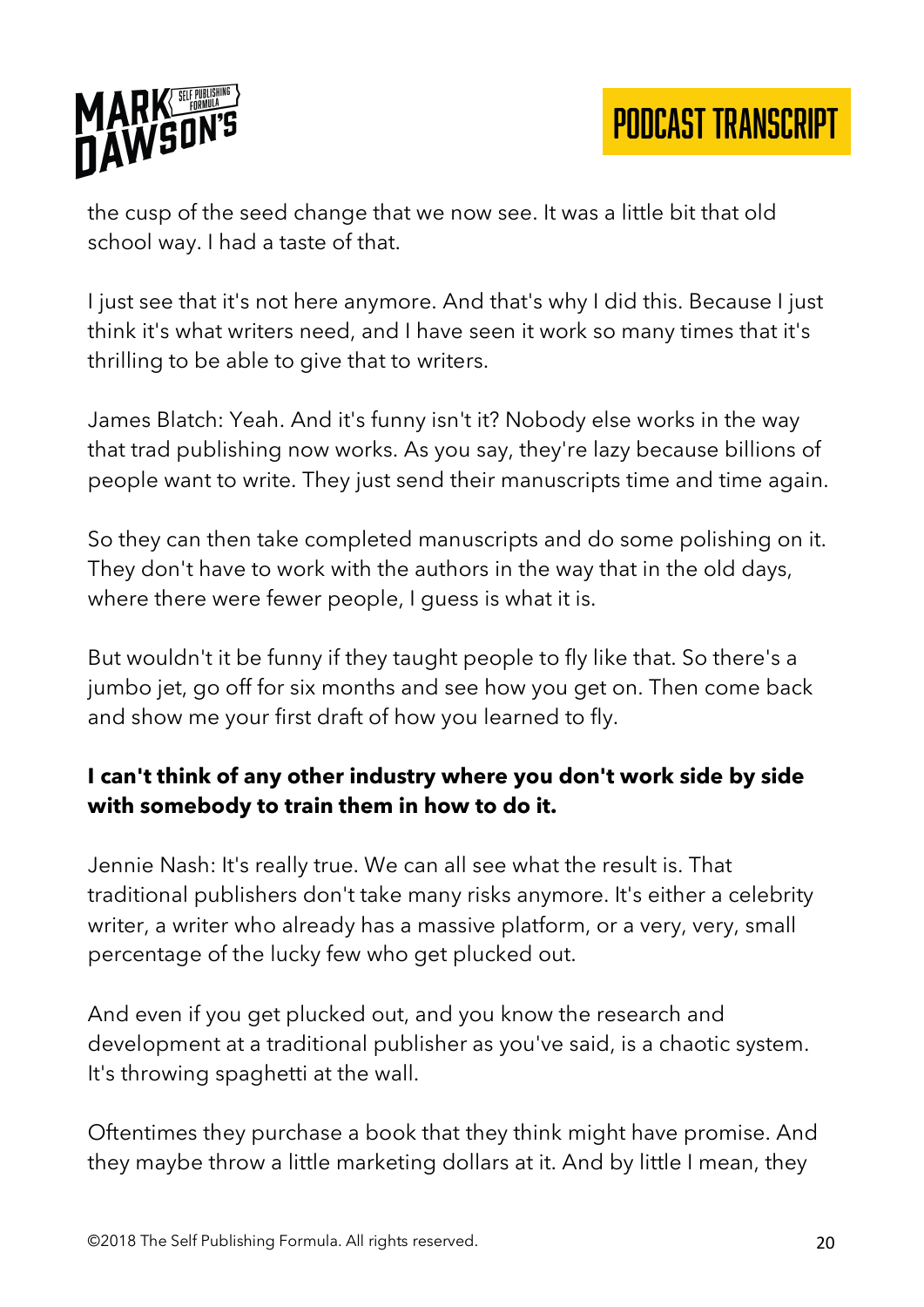

the cusp of the seed change that we now see. It was a little bit that old school way. I had a taste of that.

I just see that it's not here anymore. And that's why I did this. Because I just think it's what writers need, and I have seen it work so many times that it's thrilling to be able to give that to writers.

James Blatch: Yeah. And it's funny isn't it? Nobody else works in the way that trad publishing now works. As you say, they're lazy because billions of people want to write. They just send their manuscripts time and time again.

So they can then take completed manuscripts and do some polishing on it. They don't have to work with the authors in the way that in the old days, where there were fewer people, I guess is what it is.

But wouldn't it be funny if they taught people to fly like that. So there's a jumbo jet, go off for six months and see how you get on. Then come back and show me your first draft of how you learned to fly.

### **I can't think of any other industry where you don't work side by side with somebody to train them in how to do it.**

Jennie Nash: It's really true. We can all see what the result is. That traditional publishers don't take many risks anymore. It's either a celebrity writer, a writer who already has a massive platform, or a very, very, small percentage of the lucky few who get plucked out.

And even if you get plucked out, and you know the research and development at a traditional publisher as you've said, is a chaotic system. It's throwing spaghetti at the wall.

Oftentimes they purchase a book that they think might have promise. And they maybe throw a little marketing dollars at it. And by little I mean, they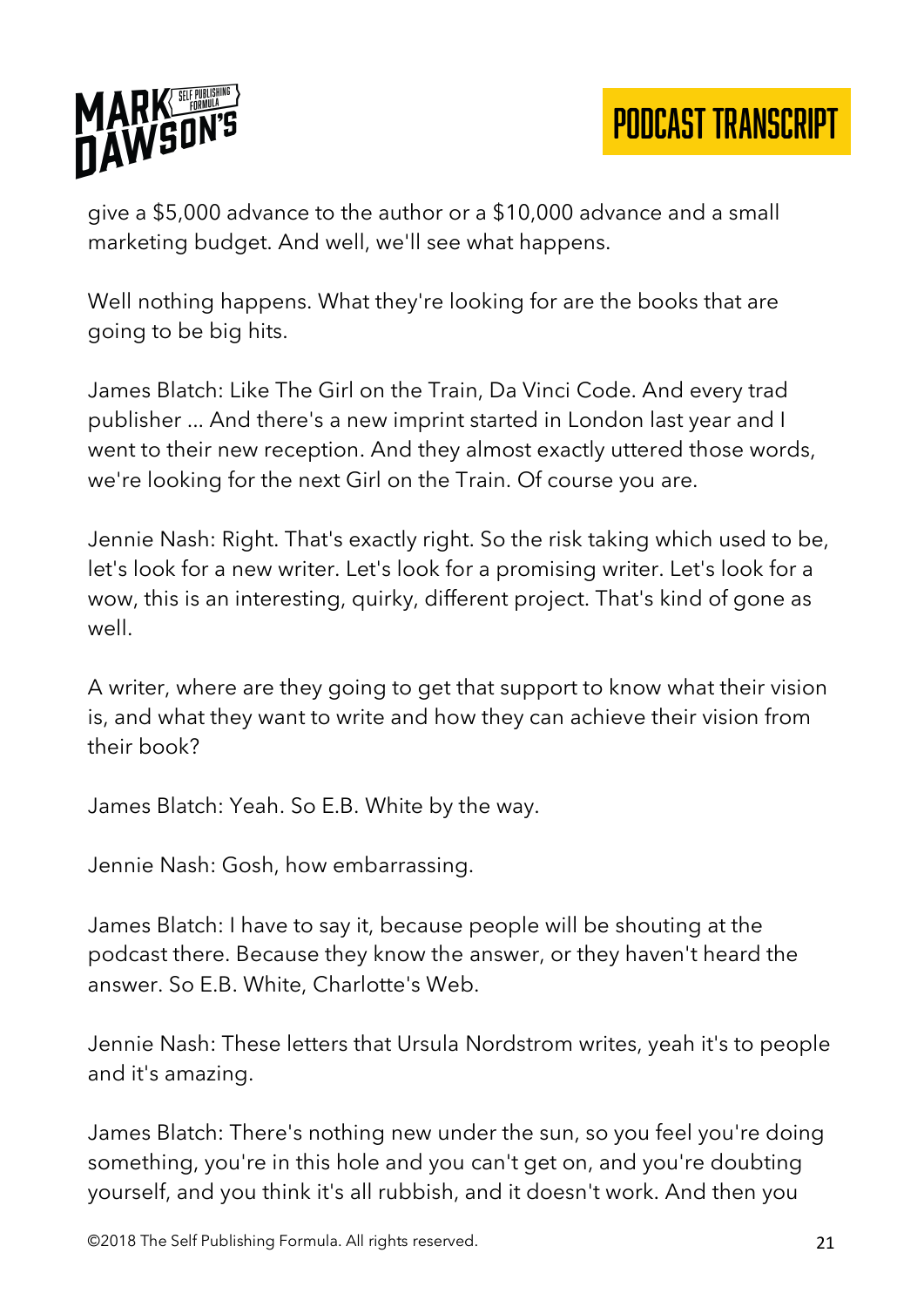

give a \$5,000 advance to the author or a \$10,000 advance and a small marketing budget. And well, we'll see what happens.

Well nothing happens. What they're looking for are the books that are going to be big hits.

James Blatch: Like The Girl on the Train, Da Vinci Code. And every trad publisher ... And there's a new imprint started in London last year and I went to their new reception. And they almost exactly uttered those words, we're looking for the next Girl on the Train. Of course you are.

Jennie Nash: Right. That's exactly right. So the risk taking which used to be, let's look for a new writer. Let's look for a promising writer. Let's look for a wow, this is an interesting, quirky, different project. That's kind of gone as well.

A writer, where are they going to get that support to know what their vision is, and what they want to write and how they can achieve their vision from their book?

James Blatch: Yeah. So E.B. White by the way.

Jennie Nash: Gosh, how embarrassing.

James Blatch: I have to say it, because people will be shouting at the podcast there. Because they know the answer, or they haven't heard the answer. So E.B. White, Charlotte's Web.

Jennie Nash: These letters that Ursula Nordstrom writes, yeah it's to people and it's amazing.

James Blatch: There's nothing new under the sun, so you feel you're doing something, you're in this hole and you can't get on, and you're doubting yourself, and you think it's all rubbish, and it doesn't work. And then you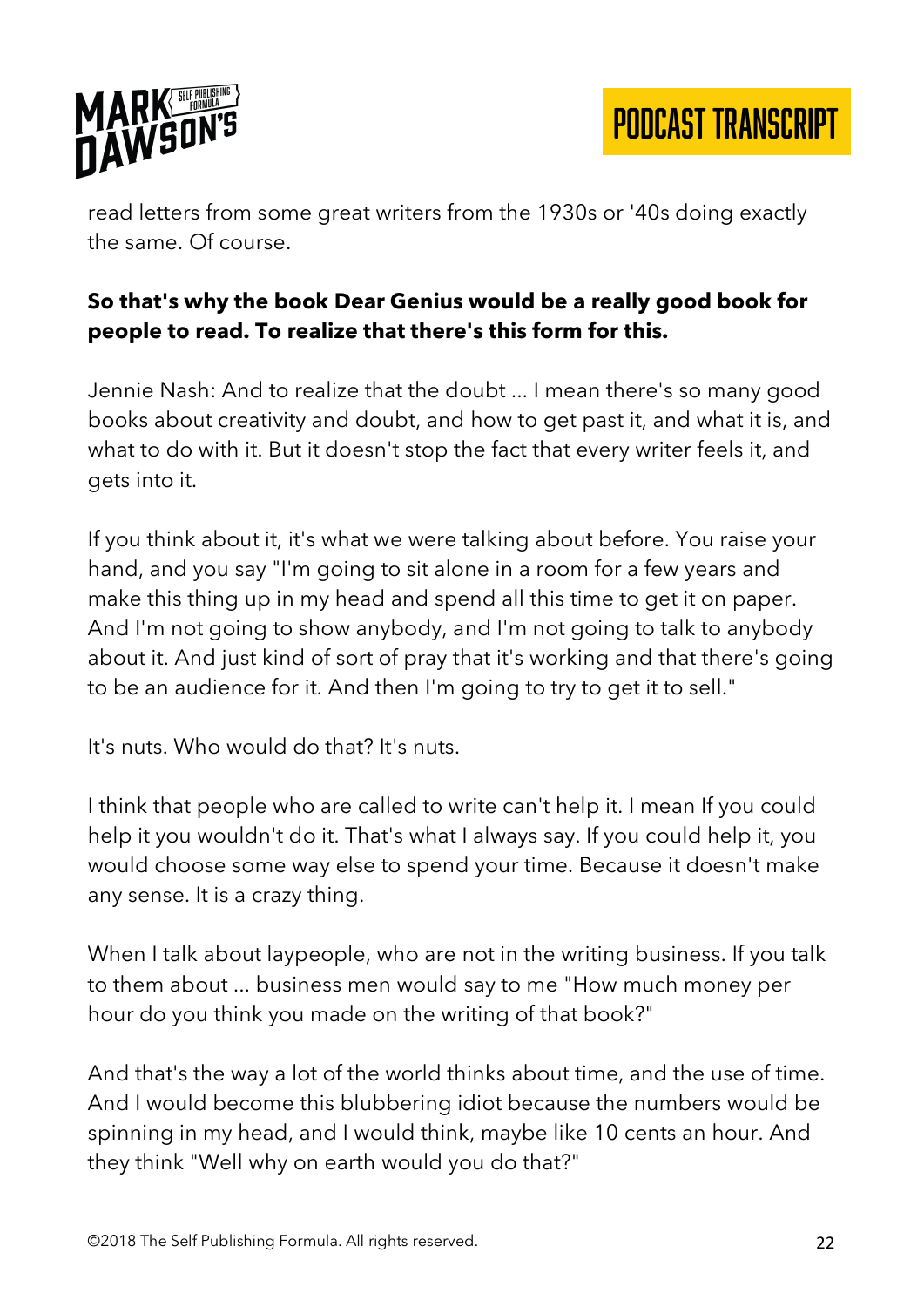

read letters from some great writers from the 1930s or '40s doing exactly the same. Of course.

### **So that's why the book Dear Genius would be a really good book for people to read. To realize that there's this form for this.**

Jennie Nash: And to realize that the doubt ... I mean there's so many good books about creativity and doubt, and how to get past it, and what it is, and what to do with it. But it doesn't stop the fact that every writer feels it, and gets into it.

If you think about it, it's what we were talking about before. You raise your hand, and you say "I'm going to sit alone in a room for a few years and make this thing up in my head and spend all this time to get it on paper. And I'm not going to show anybody, and I'm not going to talk to anybody about it. And just kind of sort of pray that it's working and that there's going to be an audience for it. And then I'm going to try to get it to sell."

It's nuts. Who would do that? It's nuts.

I think that people who are called to write can't help it. I mean If you could help it you wouldn't do it. That's what I always say. If you could help it, you would choose some way else to spend your time. Because it doesn't make any sense. It is a crazy thing.

When I talk about laypeople, who are not in the writing business. If you talk to them about ... business men would say to me "How much money per hour do you think you made on the writing of that book?"

And that's the way a lot of the world thinks about time, and the use of time. And I would become this blubbering idiot because the numbers would be spinning in my head, and I would think, maybe like 10 cents an hour. And they think "Well why on earth would you do that?"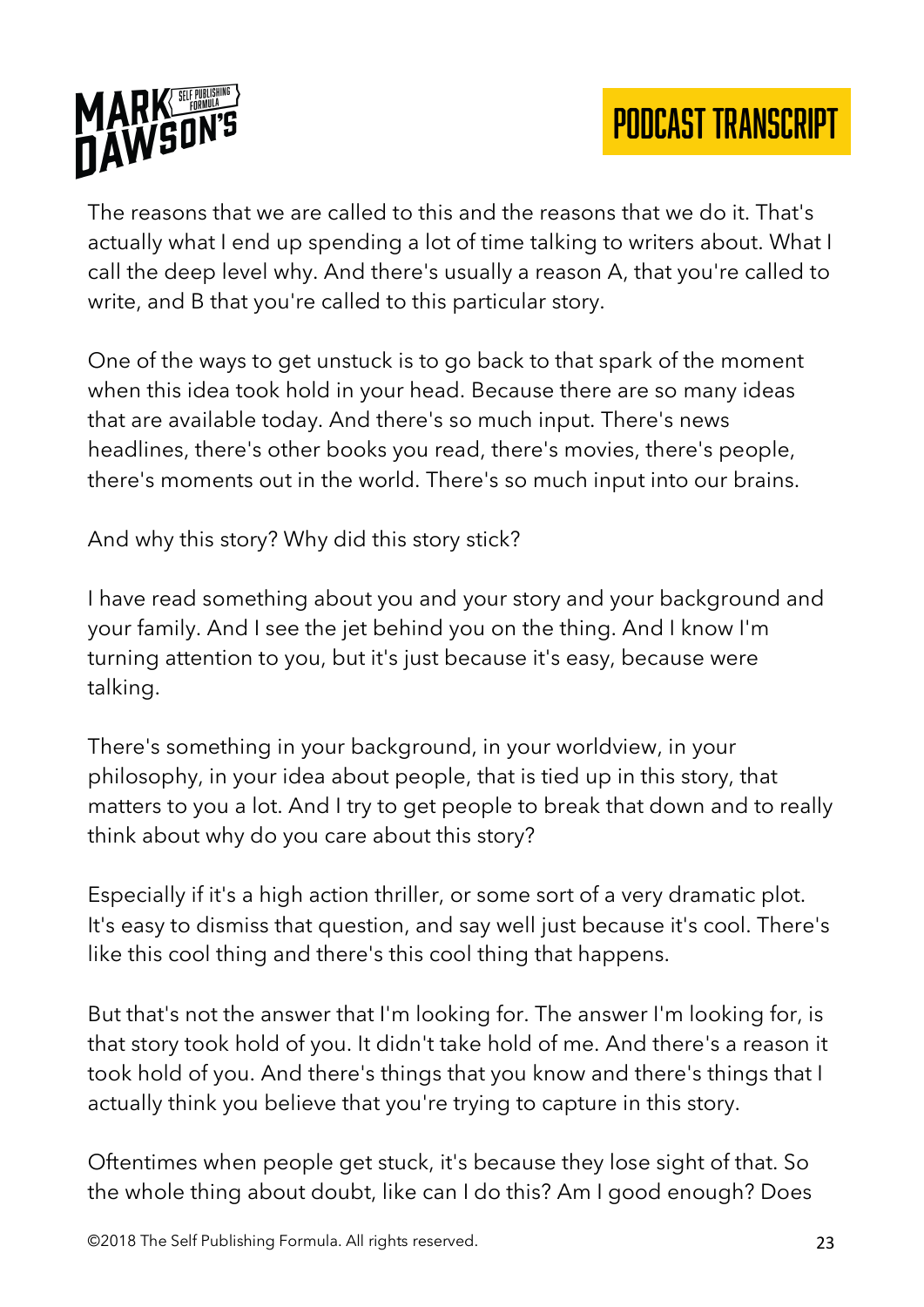

The reasons that we are called to this and the reasons that we do it. That's actually what I end up spending a lot of time talking to writers about. What I call the deep level why. And there's usually a reason A, that you're called to write, and B that you're called to this particular story.

One of the ways to get unstuck is to go back to that spark of the moment when this idea took hold in your head. Because there are so many ideas that are available today. And there's so much input. There's news headlines, there's other books you read, there's movies, there's people, there's moments out in the world. There's so much input into our brains.

And why this story? Why did this story stick?

I have read something about you and your story and your background and your family. And I see the jet behind you on the thing. And I know I'm turning attention to you, but it's just because it's easy, because were talking.

There's something in your background, in your worldview, in your philosophy, in your idea about people, that is tied up in this story, that matters to you a lot. And I try to get people to break that down and to really think about why do you care about this story?

Especially if it's a high action thriller, or some sort of a very dramatic plot. It's easy to dismiss that question, and say well just because it's cool. There's like this cool thing and there's this cool thing that happens.

But that's not the answer that I'm looking for. The answer I'm looking for, is that story took hold of you. It didn't take hold of me. And there's a reason it took hold of you. And there's things that you know and there's things that I actually think you believe that you're trying to capture in this story.

Oftentimes when people get stuck, it's because they lose sight of that. So the whole thing about doubt, like can I do this? Am I good enough? Does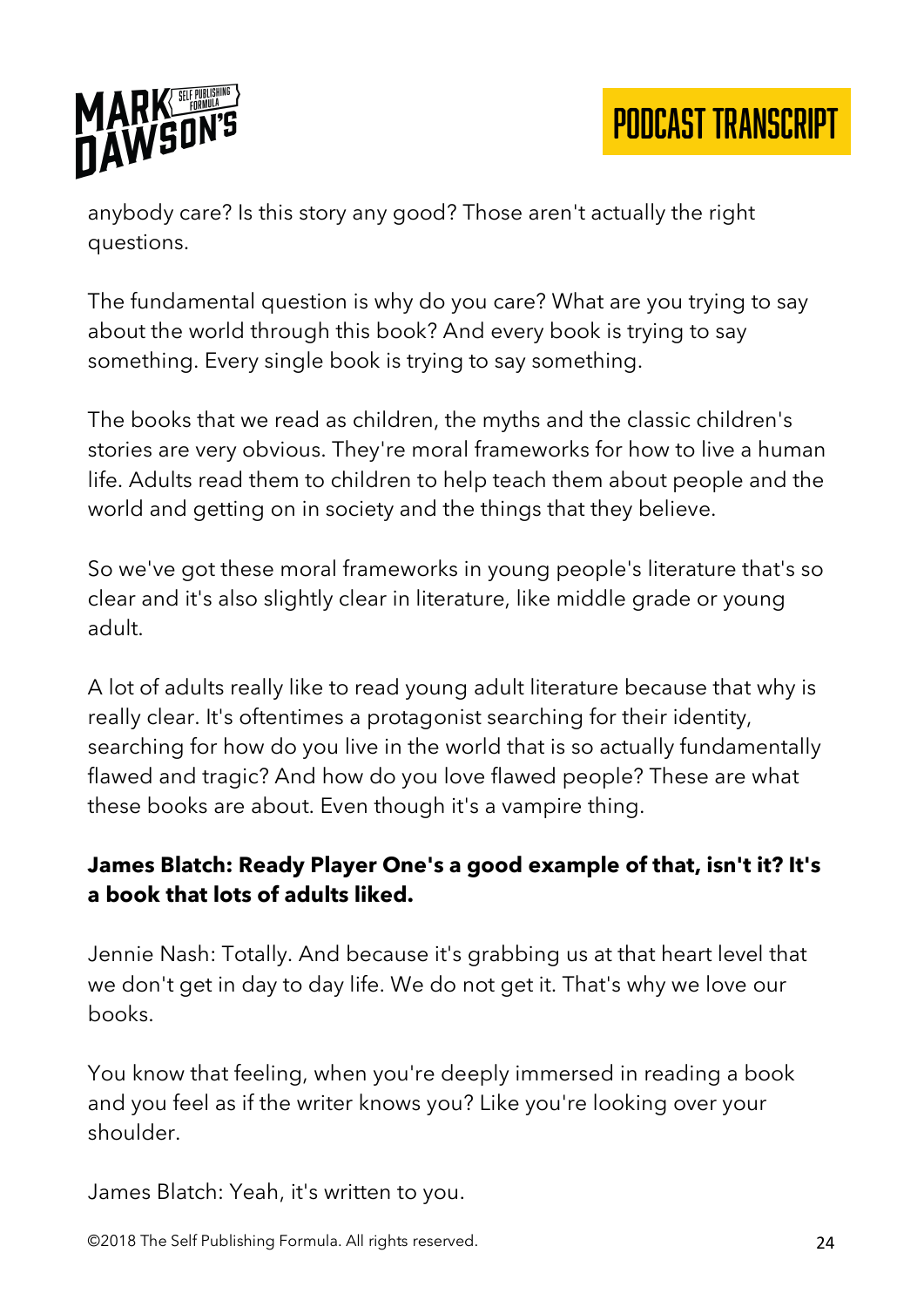

anybody care? Is this story any good? Those aren't actually the right questions.

The fundamental question is why do you care? What are you trying to say about the world through this book? And every book is trying to say something. Every single book is trying to say something.

The books that we read as children, the myths and the classic children's stories are very obvious. They're moral frameworks for how to live a human life. Adults read them to children to help teach them about people and the world and getting on in society and the things that they believe.

So we've got these moral frameworks in young people's literature that's so clear and it's also slightly clear in literature, like middle grade or young adult.

A lot of adults really like to read young adult literature because that why is really clear. It's oftentimes a protagonist searching for their identity, searching for how do you live in the world that is so actually fundamentally flawed and tragic? And how do you love flawed people? These are what these books are about. Even though it's a vampire thing.

## **James Blatch: Ready Player One's a good example of that, isn't it? It's a book that lots of adults liked.**

Jennie Nash: Totally. And because it's grabbing us at that heart level that we don't get in day to day life. We do not get it. That's why we love our books.

You know that feeling, when you're deeply immersed in reading a book and you feel as if the writer knows you? Like you're looking over your shoulder.

James Blatch: Yeah, it's written to you.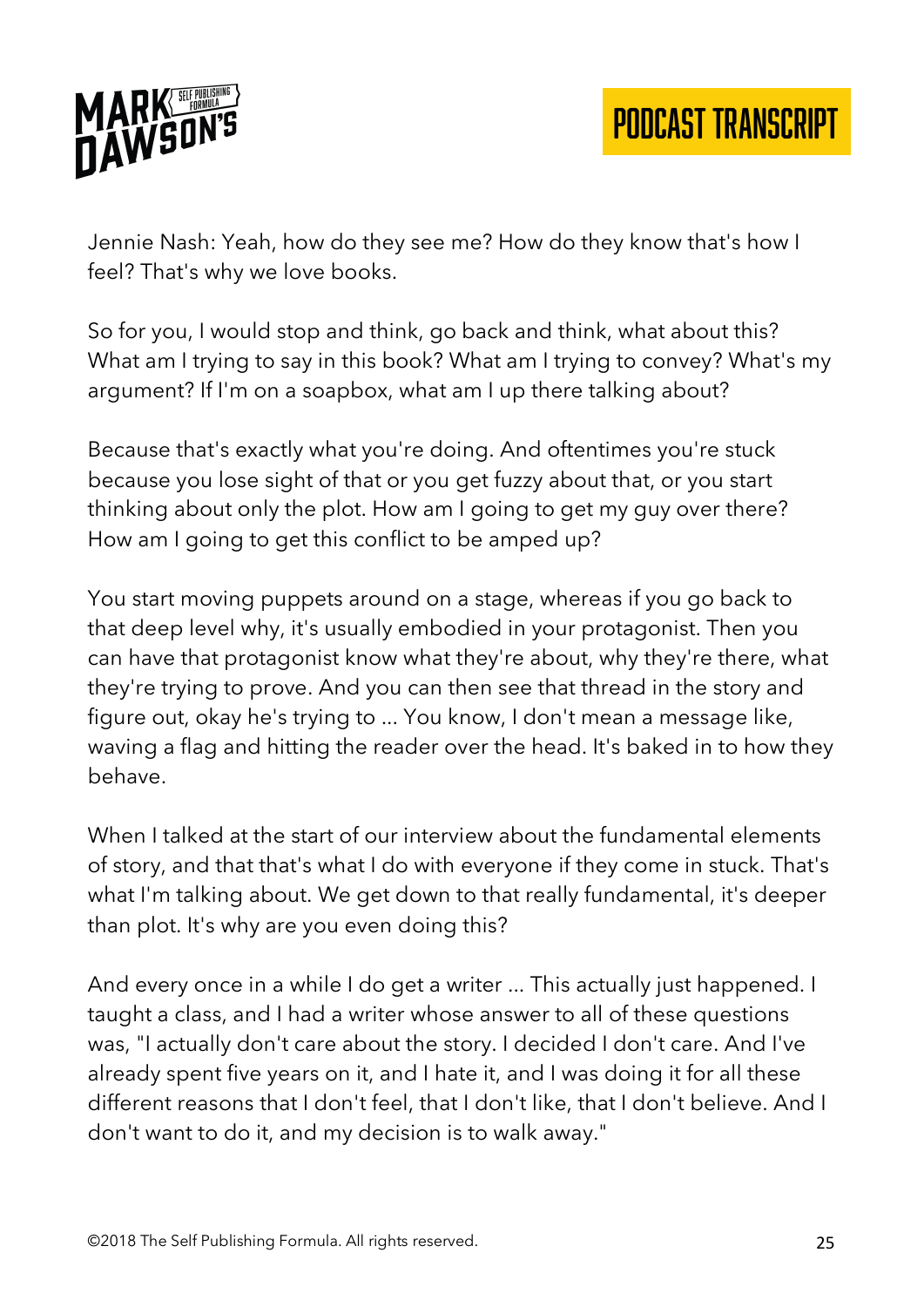

Jennie Nash: Yeah, how do they see me? How do they know that's how I feel? That's why we love books.

So for you, I would stop and think, go back and think, what about this? What am I trying to say in this book? What am I trying to convey? What's my argument? If I'm on a soapbox, what am I up there talking about?

Because that's exactly what you're doing. And oftentimes you're stuck because you lose sight of that or you get fuzzy about that, or you start thinking about only the plot. How am I going to get my guy over there? How am I going to get this conflict to be amped up?

You start moving puppets around on a stage, whereas if you go back to that deep level why, it's usually embodied in your protagonist. Then you can have that protagonist know what they're about, why they're there, what they're trying to prove. And you can then see that thread in the story and figure out, okay he's trying to ... You know, I don't mean a message like, waving a flag and hitting the reader over the head. It's baked in to how they behave.

When I talked at the start of our interview about the fundamental elements of story, and that that's what I do with everyone if they come in stuck. That's what I'm talking about. We get down to that really fundamental, it's deeper than plot. It's why are you even doing this?

And every once in a while I do get a writer ... This actually just happened. I taught a class, and I had a writer whose answer to all of these questions was, "I actually don't care about the story. I decided I don't care. And I've already spent five years on it, and I hate it, and I was doing it for all these different reasons that I don't feel, that I don't like, that I don't believe. And I don't want to do it, and my decision is to walk away."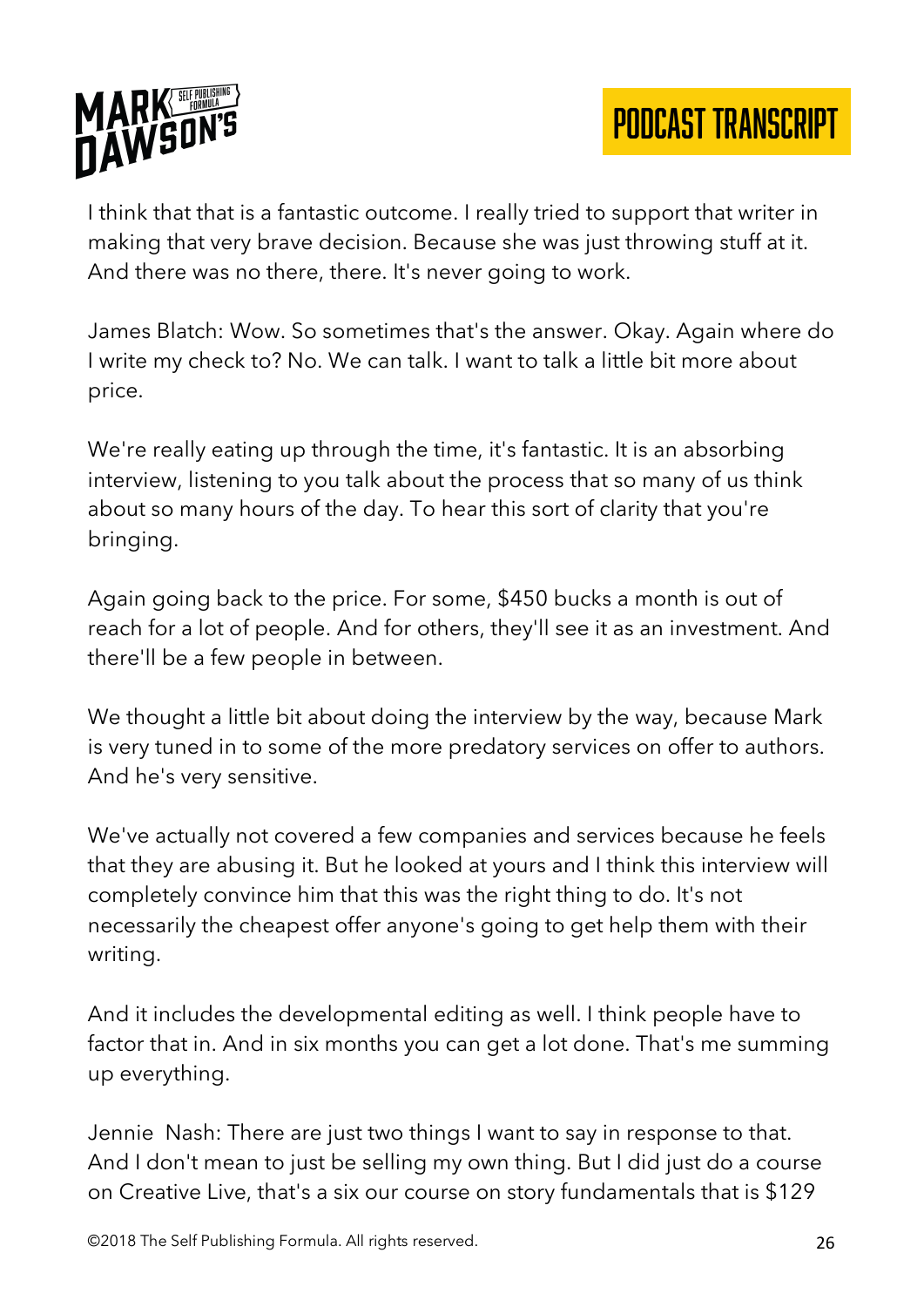

I think that that is a fantastic outcome. I really tried to support that writer in making that very brave decision. Because she was just throwing stuff at it. And there was no there, there. It's never going to work.

James Blatch: Wow. So sometimes that's the answer. Okay. Again where do I write my check to? No. We can talk. I want to talk a little bit more about price.

We're really eating up through the time, it's fantastic. It is an absorbing interview, listening to you talk about the process that so many of us think about so many hours of the day. To hear this sort of clarity that you're bringing.

Again going back to the price. For some, \$450 bucks a month is out of reach for a lot of people. And for others, they'll see it as an investment. And there'll be a few people in between.

We thought a little bit about doing the interview by the way, because Mark is very tuned in to some of the more predatory services on offer to authors. And he's very sensitive.

We've actually not covered a few companies and services because he feels that they are abusing it. But he looked at yours and I think this interview will completely convince him that this was the right thing to do. It's not necessarily the cheapest offer anyone's going to get help them with their writing.

And it includes the developmental editing as well. I think people have to factor that in. And in six months you can get a lot done. That's me summing up everything.

Jennie Nash: There are just two things I want to say in response to that. And I don't mean to just be selling my own thing. But I did just do a course on Creative Live, that's a six our course on story fundamentals that is \$129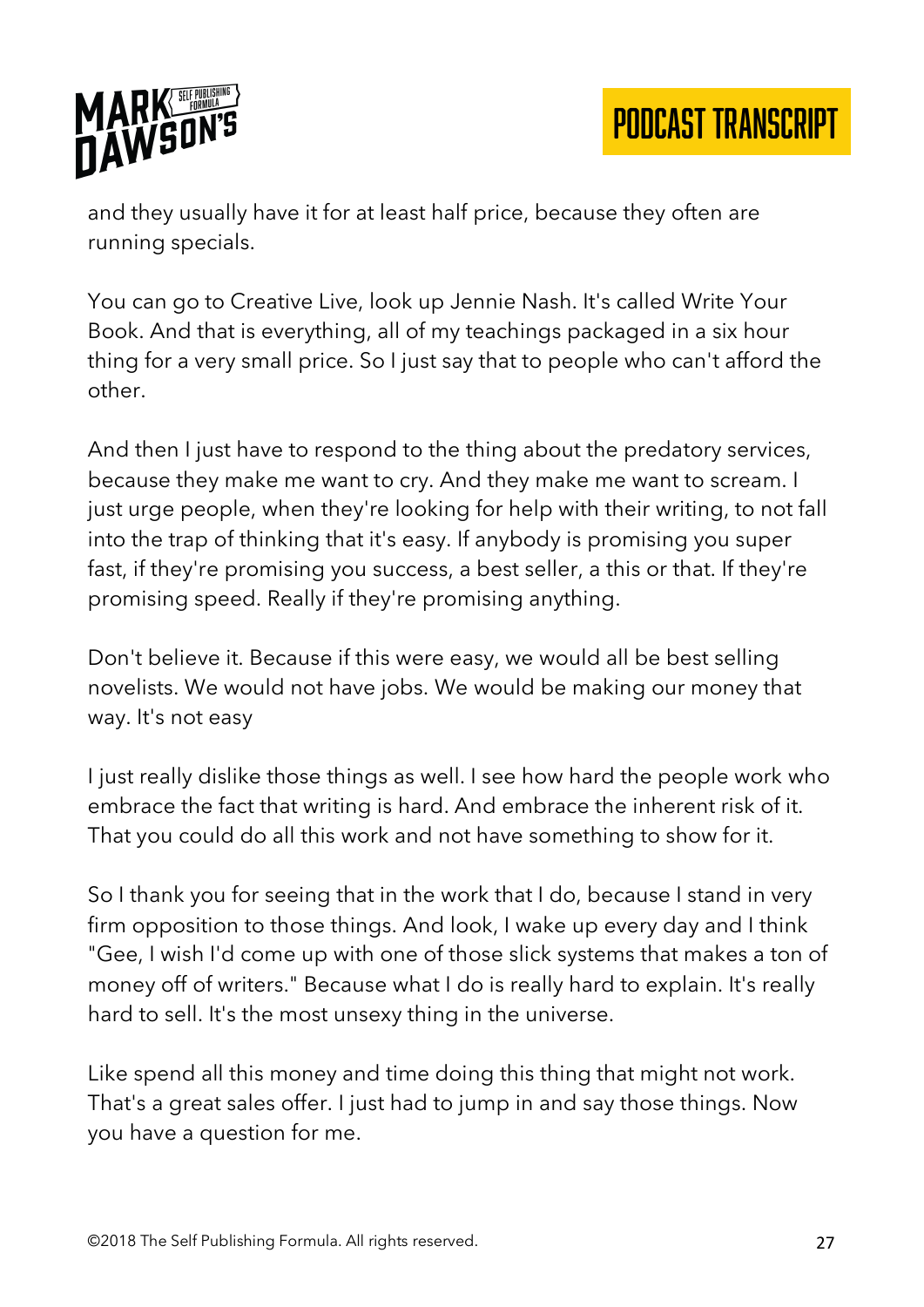

and they usually have it for at least half price, because they often are running specials.

You can go to Creative Live, look up Jennie Nash. It's called Write Your Book. And that is everything, all of my teachings packaged in a six hour thing for a very small price. So I just say that to people who can't afford the other.

And then I just have to respond to the thing about the predatory services, because they make me want to cry. And they make me want to scream. I just urge people, when they're looking for help with their writing, to not fall into the trap of thinking that it's easy. If anybody is promising you super fast, if they're promising you success, a best seller, a this or that. If they're promising speed. Really if they're promising anything.

Don't believe it. Because if this were easy, we would all be best selling novelists. We would not have jobs. We would be making our money that way. It's not easy

I just really dislike those things as well. I see how hard the people work who embrace the fact that writing is hard. And embrace the inherent risk of it. That you could do all this work and not have something to show for it.

So I thank you for seeing that in the work that I do, because I stand in very firm opposition to those things. And look, I wake up every day and I think "Gee, I wish I'd come up with one of those slick systems that makes a ton of money off of writers." Because what I do is really hard to explain. It's really hard to sell. It's the most unsexy thing in the universe.

Like spend all this money and time doing this thing that might not work. That's a great sales offer. I just had to jump in and say those things. Now you have a question for me.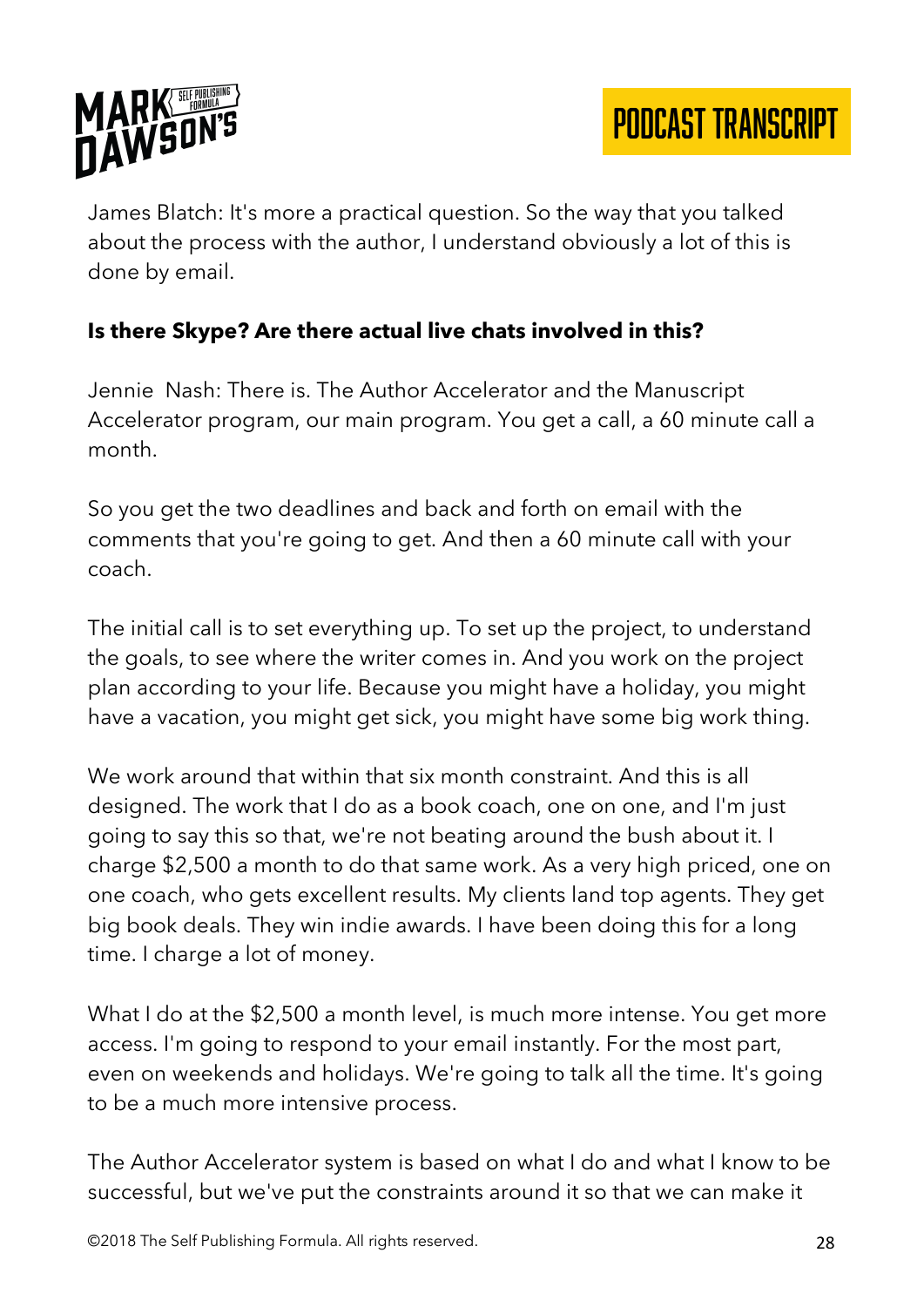

James Blatch: It's more a practical question. So the way that you talked about the process with the author, I understand obviously a lot of this is done by email.

#### **Is there Skype? Are there actual live chats involved in this?**

Jennie Nash: There is. The Author Accelerator and the Manuscript Accelerator program, our main program. You get a call, a 60 minute call a month.

So you get the two deadlines and back and forth on email with the comments that you're going to get. And then a 60 minute call with your coach.

The initial call is to set everything up. To set up the project, to understand the goals, to see where the writer comes in. And you work on the project plan according to your life. Because you might have a holiday, you might have a vacation, you might get sick, you might have some big work thing.

We work around that within that six month constraint. And this is all designed. The work that I do as a book coach, one on one, and I'm just going to say this so that, we're not beating around the bush about it. I charge \$2,500 a month to do that same work. As a very high priced, one on one coach, who gets excellent results. My clients land top agents. They get big book deals. They win indie awards. I have been doing this for a long time. I charge a lot of money.

What I do at the \$2,500 a month level, is much more intense. You get more access. I'm going to respond to your email instantly. For the most part, even on weekends and holidays. We're going to talk all the time. It's going to be a much more intensive process.

The Author Accelerator system is based on what I do and what I know to be successful, but we've put the constraints around it so that we can make it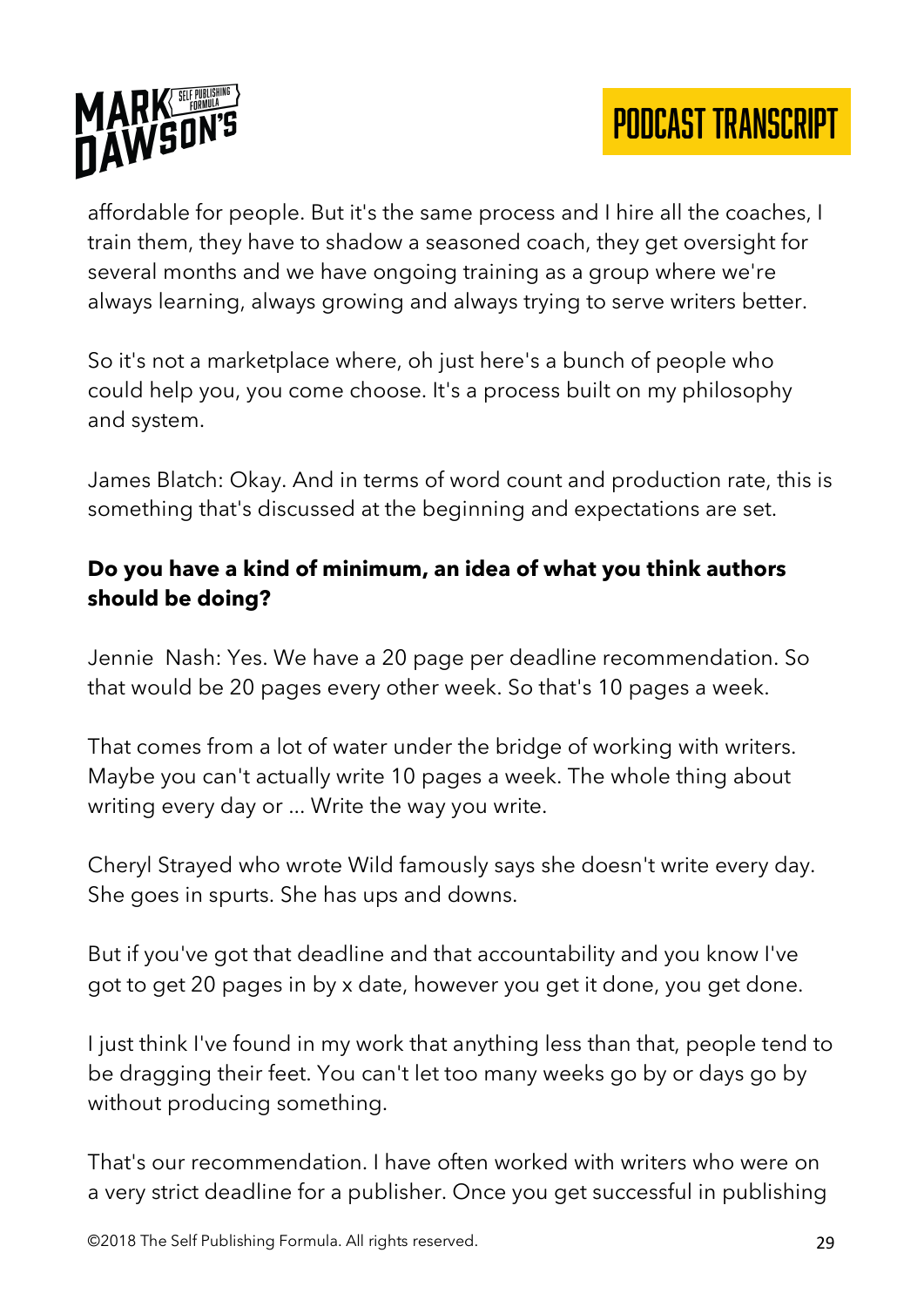



affordable for people. But it's the same process and I hire all the coaches, I train them, they have to shadow a seasoned coach, they get oversight for several months and we have ongoing training as a group where we're always learning, always growing and always trying to serve writers better.

So it's not a marketplace where, oh just here's a bunch of people who could help you, you come choose. It's a process built on my philosophy and system.

James Blatch: Okay. And in terms of word count and production rate, this is something that's discussed at the beginning and expectations are set.

### **Do you have a kind of minimum, an idea of what you think authors should be doing?**

Jennie Nash: Yes. We have a 20 page per deadline recommendation. So that would be 20 pages every other week. So that's 10 pages a week.

That comes from a lot of water under the bridge of working with writers. Maybe you can't actually write 10 pages a week. The whole thing about writing every day or ... Write the way you write.

Cheryl Strayed who wrote Wild famously says she doesn't write every day. She goes in spurts. She has ups and downs.

But if you've got that deadline and that accountability and you know I've got to get 20 pages in by x date, however you get it done, you get done.

I just think I've found in my work that anything less than that, people tend to be dragging their feet. You can't let too many weeks go by or days go by without producing something.

That's our recommendation. I have often worked with writers who were on a very strict deadline for a publisher. Once you get successful in publishing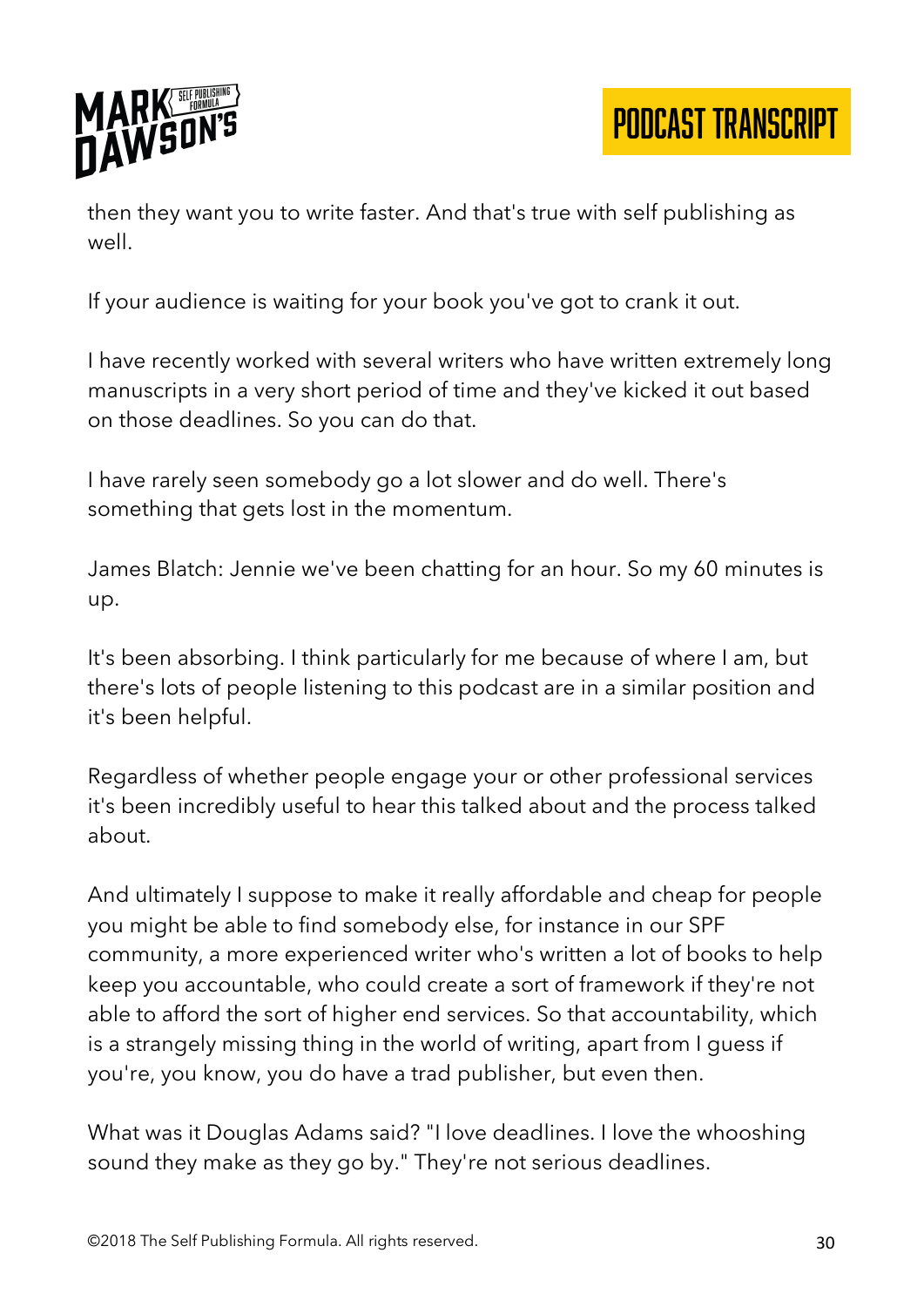

then they want you to write faster. And that's true with self publishing as well.

If your audience is waiting for your book you've got to crank it out.

I have recently worked with several writers who have written extremely long manuscripts in a very short period of time and they've kicked it out based on those deadlines. So you can do that.

I have rarely seen somebody go a lot slower and do well. There's something that gets lost in the momentum.

James Blatch: Jennie we've been chatting for an hour. So my 60 minutes is up.

It's been absorbing. I think particularly for me because of where I am, but there's lots of people listening to this podcast are in a similar position and it's been helpful.

Regardless of whether people engage your or other professional services it's been incredibly useful to hear this talked about and the process talked about.

And ultimately I suppose to make it really affordable and cheap for people you might be able to find somebody else, for instance in our SPF community, a more experienced writer who's written a lot of books to help keep you accountable, who could create a sort of framework if they're not able to afford the sort of higher end services. So that accountability, which is a strangely missing thing in the world of writing, apart from I guess if you're, you know, you do have a trad publisher, but even then.

What was it Douglas Adams said? "I love deadlines. I love the whooshing sound they make as they go by." They're not serious deadlines.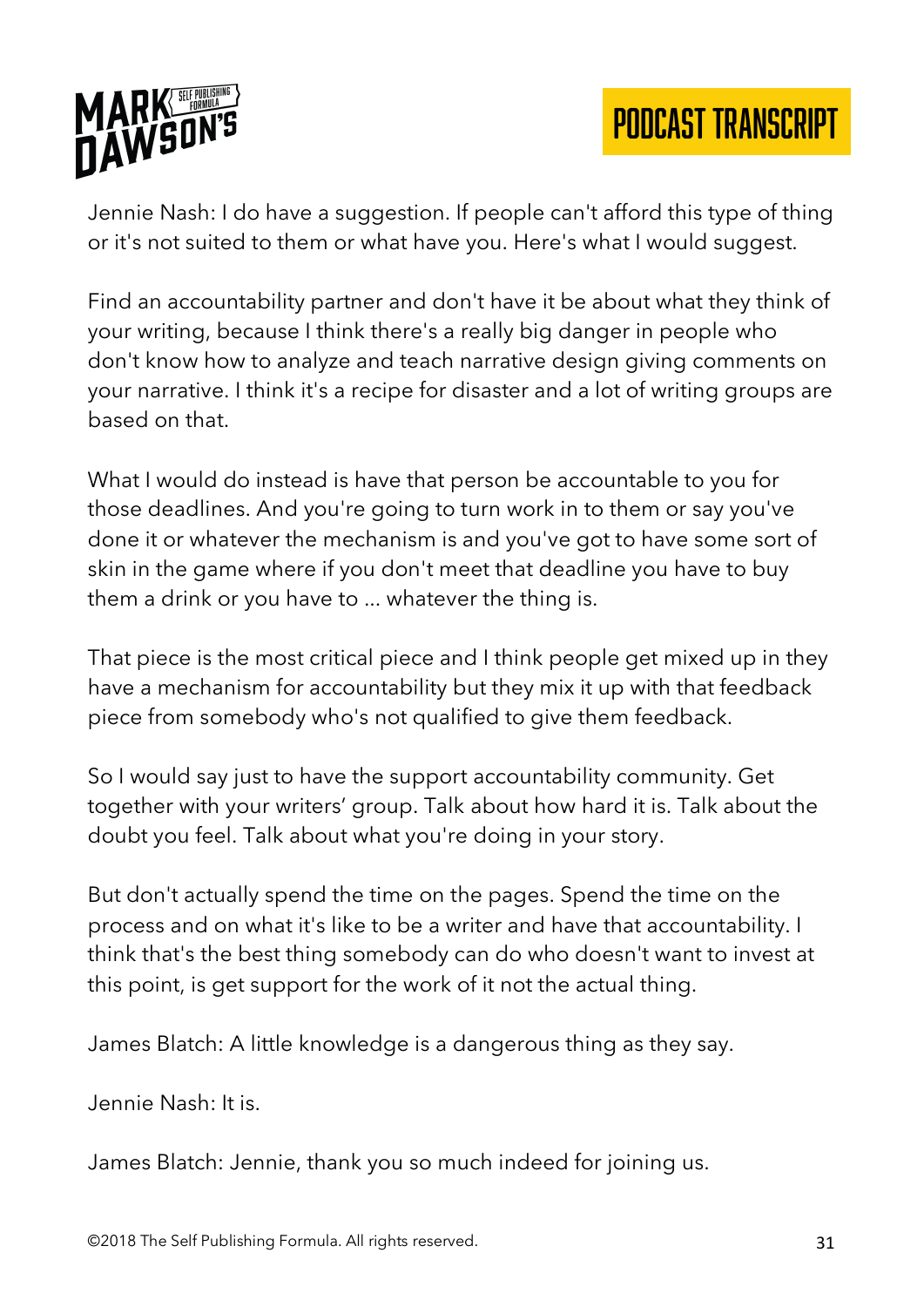

Jennie Nash: I do have a suggestion. If people can't afford this type of thing or it's not suited to them or what have you. Here's what I would suggest.

Find an accountability partner and don't have it be about what they think of your writing, because I think there's a really big danger in people who don't know how to analyze and teach narrative design giving comments on your narrative. I think it's a recipe for disaster and a lot of writing groups are based on that.

What I would do instead is have that person be accountable to you for those deadlines. And you're going to turn work in to them or say you've done it or whatever the mechanism is and you've got to have some sort of skin in the game where if you don't meet that deadline you have to buy them a drink or you have to ... whatever the thing is.

That piece is the most critical piece and I think people get mixed up in they have a mechanism for accountability but they mix it up with that feedback piece from somebody who's not qualified to give them feedback.

So I would say just to have the support accountability community. Get together with your writers' group. Talk about how hard it is. Talk about the doubt you feel. Talk about what you're doing in your story.

But don't actually spend the time on the pages. Spend the time on the process and on what it's like to be a writer and have that accountability. I think that's the best thing somebody can do who doesn't want to invest at this point, is get support for the work of it not the actual thing.

James Blatch: A little knowledge is a dangerous thing as they say.

Jennie Nash: It is.

James Blatch: Jennie, thank you so much indeed for joining us.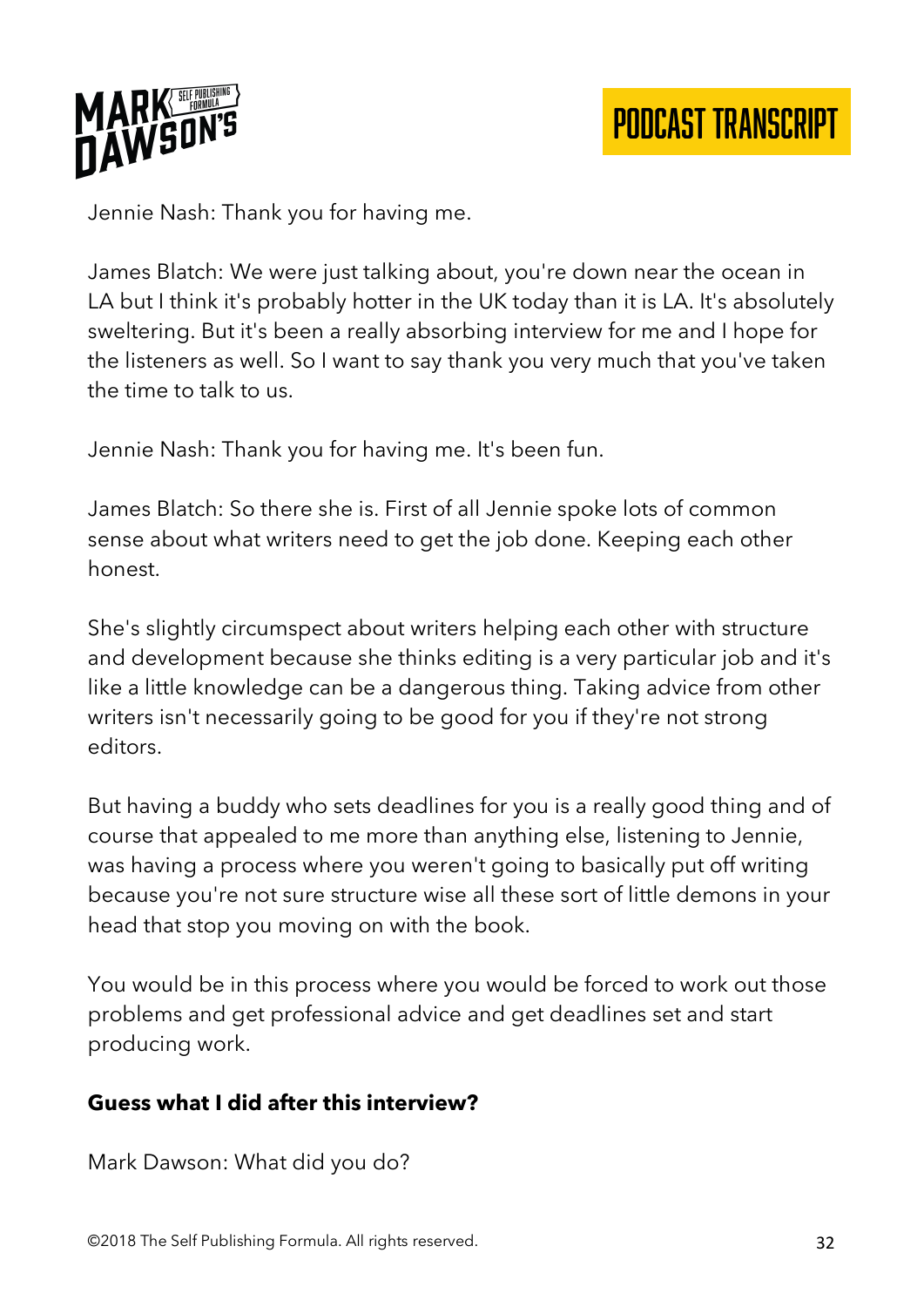

Jennie Nash: Thank you for having me.

James Blatch: We were just talking about, you're down near the ocean in LA but I think it's probably hotter in the UK today than it is LA. It's absolutely sweltering. But it's been a really absorbing interview for me and I hope for the listeners as well. So I want to say thank you very much that you've taken the time to talk to us.

Jennie Nash: Thank you for having me. It's been fun.

James Blatch: So there she is. First of all Jennie spoke lots of common sense about what writers need to get the job done. Keeping each other honest.

She's slightly circumspect about writers helping each other with structure and development because she thinks editing is a very particular job and it's like a little knowledge can be a dangerous thing. Taking advice from other writers isn't necessarily going to be good for you if they're not strong editors.

But having a buddy who sets deadlines for you is a really good thing and of course that appealed to me more than anything else, listening to Jennie, was having a process where you weren't going to basically put off writing because you're not sure structure wise all these sort of little demons in your head that stop you moving on with the book.

You would be in this process where you would be forced to work out those problems and get professional advice and get deadlines set and start producing work.

#### **Guess what I did after this interview?**

Mark Dawson: What did you do?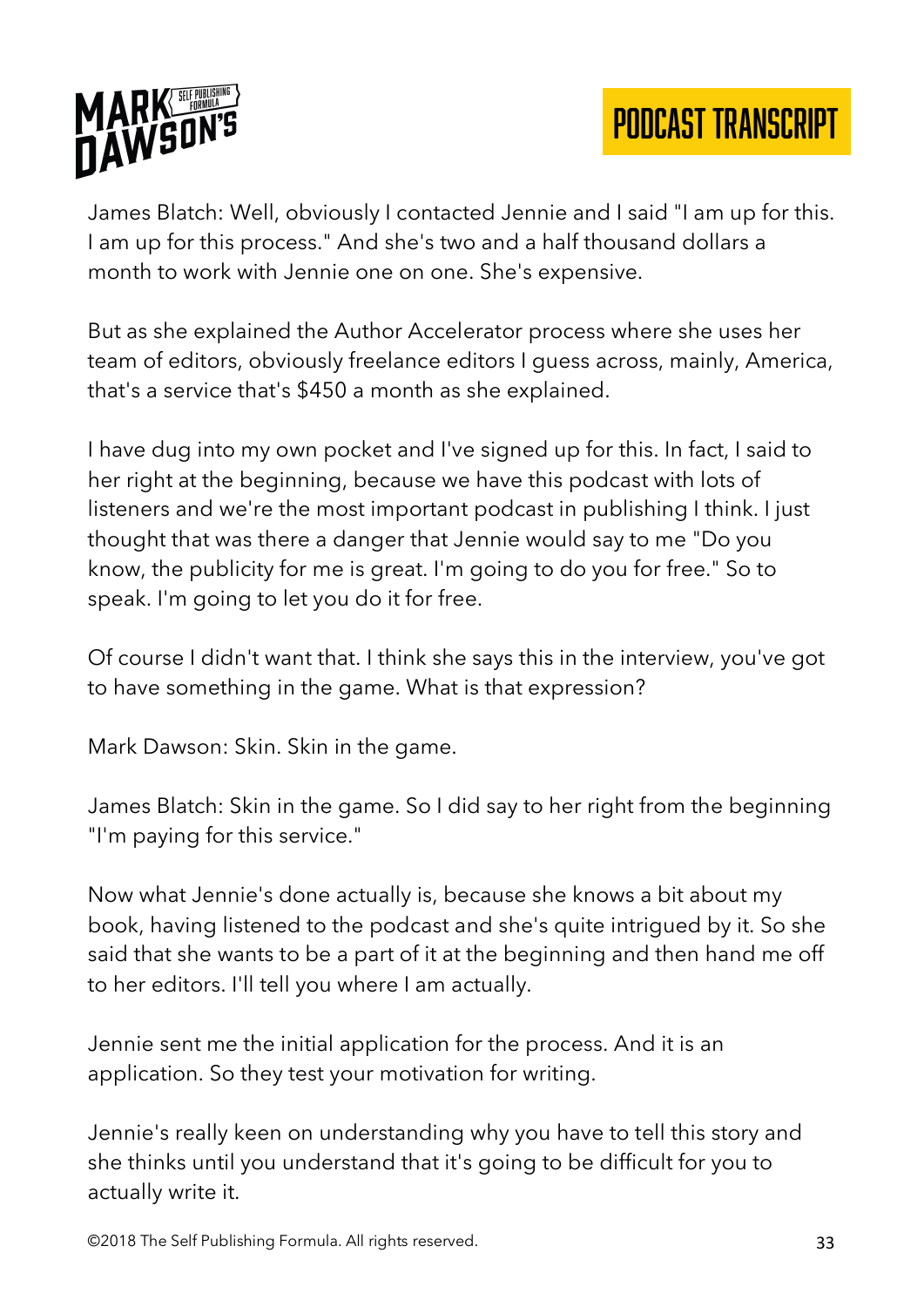

James Blatch: Well, obviously I contacted Jennie and I said "I am up for this. I am up for this process." And she's two and a half thousand dollars a month to work with Jennie one on one. She's expensive.

But as she explained the Author Accelerator process where she uses her team of editors, obviously freelance editors I guess across, mainly, America, that's a service that's \$450 a month as she explained.

I have dug into my own pocket and I've signed up for this. In fact, I said to her right at the beginning, because we have this podcast with lots of listeners and we're the most important podcast in publishing I think. I just thought that was there a danger that Jennie would say to me "Do you know, the publicity for me is great. I'm going to do you for free." So to speak. I'm going to let you do it for free.

Of course I didn't want that. I think she says this in the interview, you've got to have something in the game. What is that expression?

Mark Dawson: Skin. Skin in the game.

James Blatch: Skin in the game. So I did say to her right from the beginning "I'm paying for this service."

Now what Jennie's done actually is, because she knows a bit about my book, having listened to the podcast and she's quite intrigued by it. So she said that she wants to be a part of it at the beginning and then hand me off to her editors. I'll tell you where I am actually.

Jennie sent me the initial application for the process. And it is an application. So they test your motivation for writing.

Jennie's really keen on understanding why you have to tell this story and she thinks until you understand that it's going to be difficult for you to actually write it.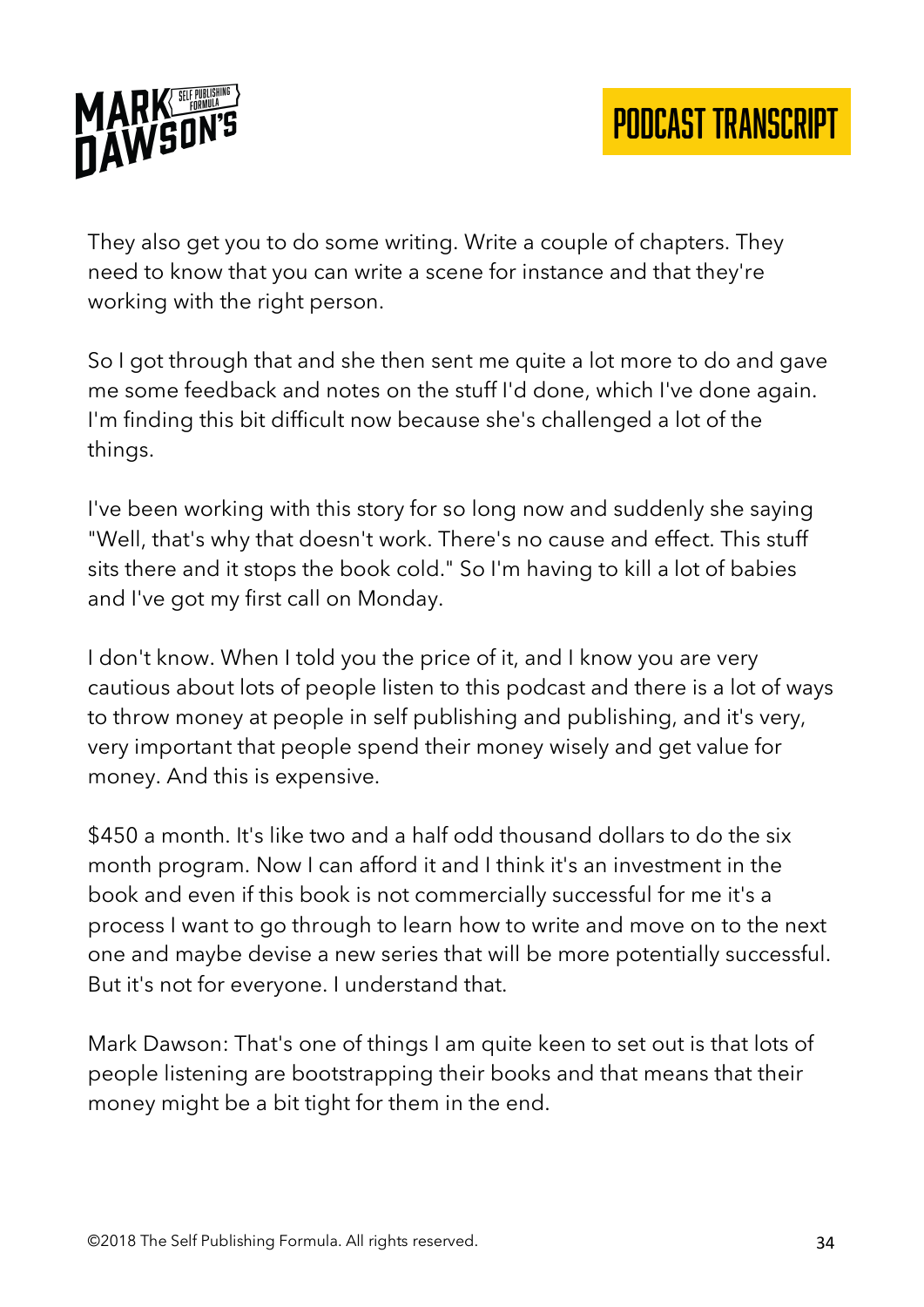

They also get you to do some writing. Write a couple of chapters. They need to know that you can write a scene for instance and that they're working with the right person.

So I got through that and she then sent me quite a lot more to do and gave me some feedback and notes on the stuff I'd done, which I've done again. I'm finding this bit difficult now because she's challenged a lot of the things.

I've been working with this story for so long now and suddenly she saying "Well, that's why that doesn't work. There's no cause and effect. This stuff sits there and it stops the book cold." So I'm having to kill a lot of babies and I've got my first call on Monday.

I don't know. When I told you the price of it, and I know you are very cautious about lots of people listen to this podcast and there is a lot of ways to throw money at people in self publishing and publishing, and it's very, very important that people spend their money wisely and get value for money. And this is expensive.

\$450 a month. It's like two and a half odd thousand dollars to do the six month program. Now I can afford it and I think it's an investment in the book and even if this book is not commercially successful for me it's a process I want to go through to learn how to write and move on to the next one and maybe devise a new series that will be more potentially successful. But it's not for everyone. I understand that.

Mark Dawson: That's one of things I am quite keen to set out is that lots of people listening are bootstrapping their books and that means that their money might be a bit tight for them in the end.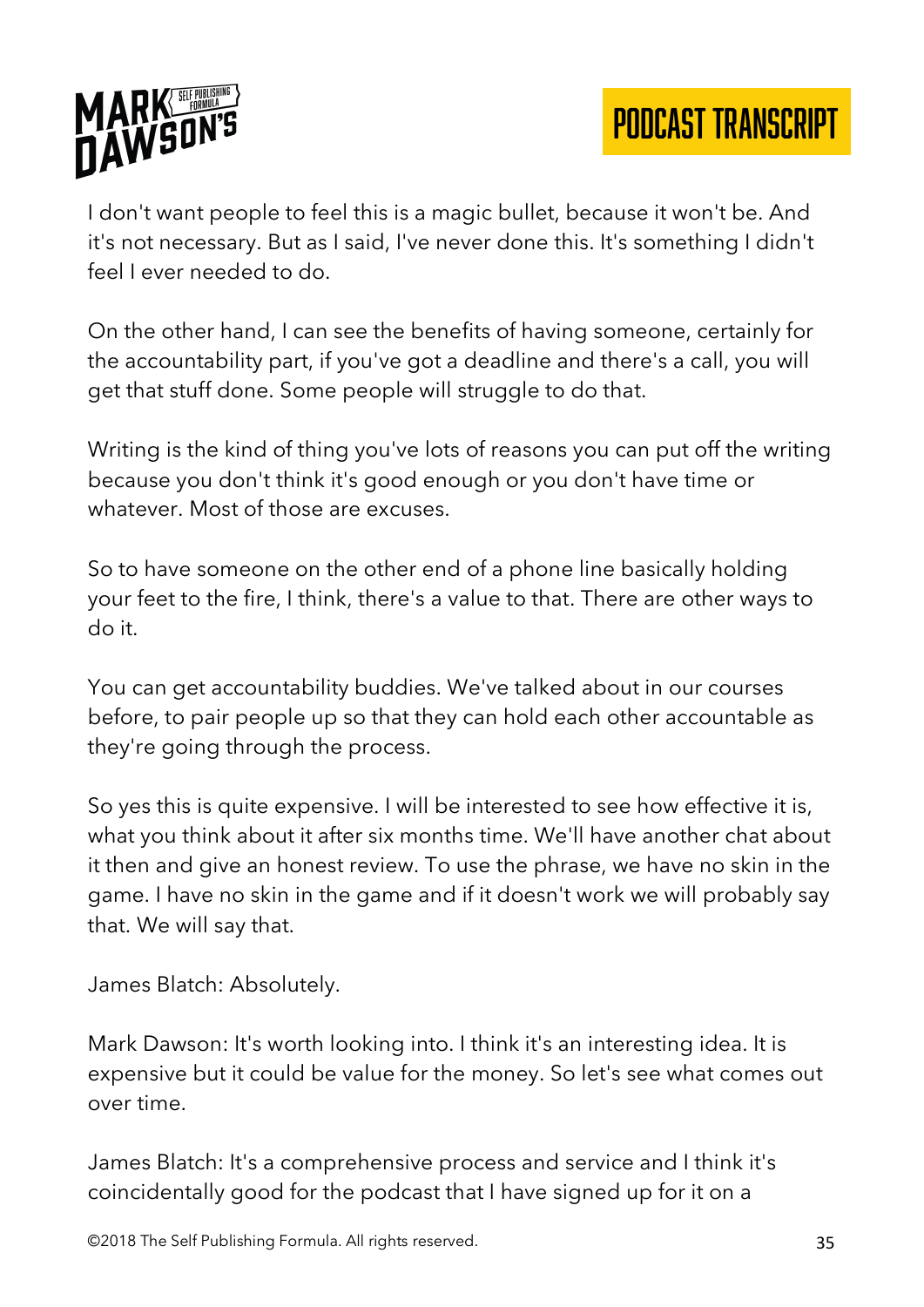

I don't want people to feel this is a magic bullet, because it won't be. And it's not necessary. But as I said, I've never done this. It's something I didn't feel I ever needed to do.

On the other hand, I can see the benefits of having someone, certainly for the accountability part, if you've got a deadline and there's a call, you will get that stuff done. Some people will struggle to do that.

Writing is the kind of thing you've lots of reasons you can put off the writing because you don't think it's good enough or you don't have time or whatever. Most of those are excuses.

So to have someone on the other end of a phone line basically holding your feet to the fire, I think, there's a value to that. There are other ways to do it.

You can get accountability buddies. We've talked about in our courses before, to pair people up so that they can hold each other accountable as they're going through the process.

So yes this is quite expensive. I will be interested to see how effective it is, what you think about it after six months time. We'll have another chat about it then and give an honest review. To use the phrase, we have no skin in the game. I have no skin in the game and if it doesn't work we will probably say that. We will say that.

James Blatch: Absolutely.

Mark Dawson: It's worth looking into. I think it's an interesting idea. It is expensive but it could be value for the money. So let's see what comes out over time.

James Blatch: It's a comprehensive process and service and I think it's coincidentally good for the podcast that I have signed up for it on a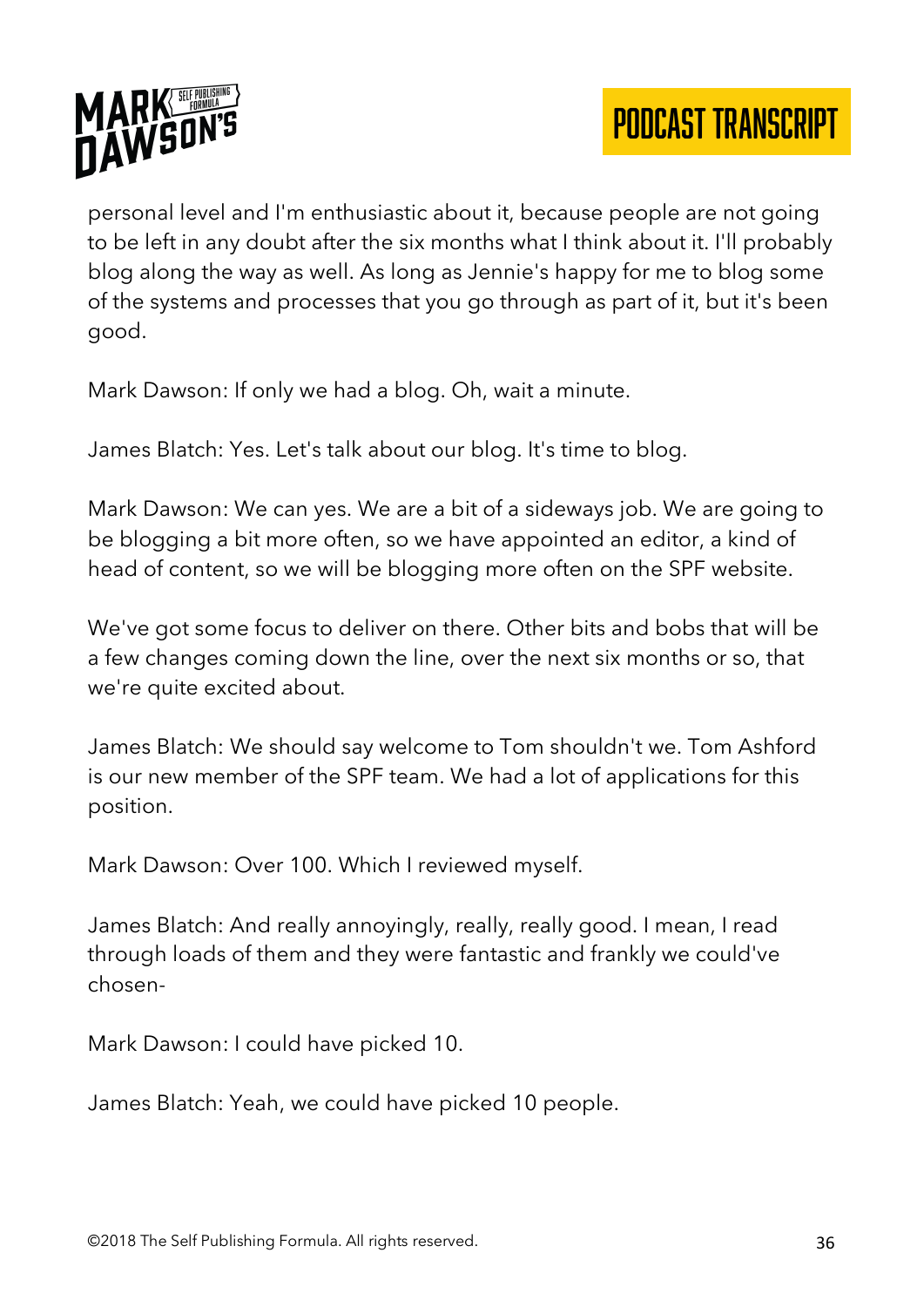



personal level and I'm enthusiastic about it, because people are not going to be left in any doubt after the six months what I think about it. I'll probably blog along the way as well. As long as Jennie's happy for me to blog some of the systems and processes that you go through as part of it, but it's been good.

Mark Dawson: If only we had a blog. Oh, wait a minute.

James Blatch: Yes. Let's talk about our blog. It's time to blog.

Mark Dawson: We can yes. We are a bit of a sideways job. We are going to be blogging a bit more often, so we have appointed an editor, a kind of head of content, so we will be blogging more often on the SPF website.

We've got some focus to deliver on there. Other bits and bobs that will be a few changes coming down the line, over the next six months or so, that we're quite excited about.

James Blatch: We should say welcome to Tom shouldn't we. Tom Ashford is our new member of the SPF team. We had a lot of applications for this position.

Mark Dawson: Over 100. Which I reviewed myself.

James Blatch: And really annoyingly, really, really good. I mean, I read through loads of them and they were fantastic and frankly we could've chosen-

Mark Dawson: I could have picked 10.

James Blatch: Yeah, we could have picked 10 people.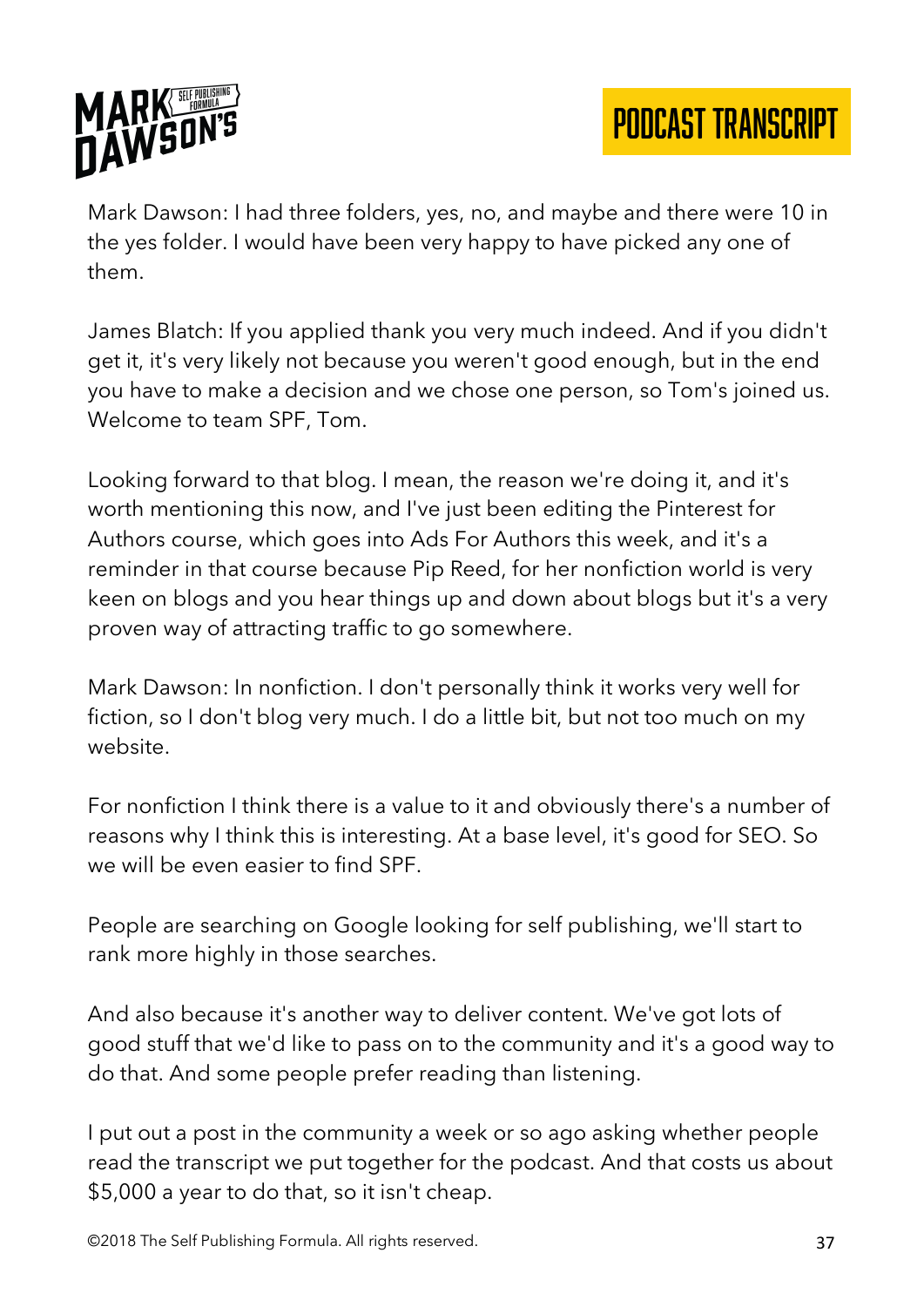

Mark Dawson: I had three folders, yes, no, and maybe and there were 10 in the yes folder. I would have been very happy to have picked any one of them.

James Blatch: If you applied thank you very much indeed. And if you didn't get it, it's very likely not because you weren't good enough, but in the end you have to make a decision and we chose one person, so Tom's joined us. Welcome to team SPF, Tom.

Looking forward to that blog. I mean, the reason we're doing it, and it's worth mentioning this now, and I've just been editing the Pinterest for Authors course, which goes into Ads For Authors this week, and it's a reminder in that course because Pip Reed, for her nonfiction world is very keen on blogs and you hear things up and down about blogs but it's a very proven way of attracting traffic to go somewhere.

Mark Dawson: In nonfiction. I don't personally think it works very well for fiction, so I don't blog very much. I do a little bit, but not too much on my website.

For nonfiction I think there is a value to it and obviously there's a number of reasons why I think this is interesting. At a base level, it's good for SEO. So we will be even easier to find SPF.

People are searching on Google looking for self publishing, we'll start to rank more highly in those searches.

And also because it's another way to deliver content. We've got lots of good stuff that we'd like to pass on to the community and it's a good way to do that. And some people prefer reading than listening.

I put out a post in the community a week or so ago asking whether people read the transcript we put together for the podcast. And that costs us about \$5,000 a year to do that, so it isn't cheap.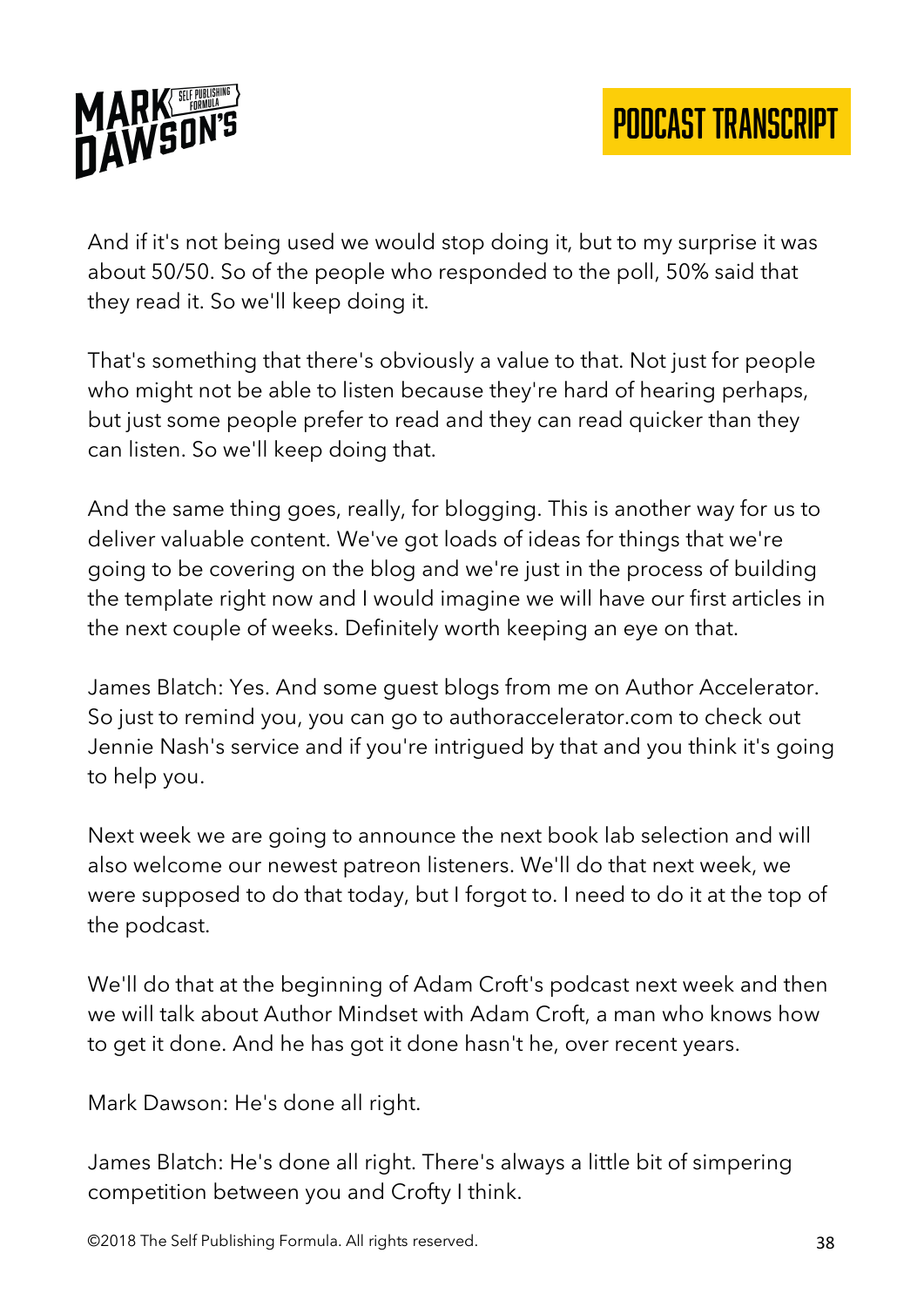

And if it's not being used we would stop doing it, but to my surprise it was about 50/50. So of the people who responded to the poll, 50% said that they read it. So we'll keep doing it.

That's something that there's obviously a value to that. Not just for people who might not be able to listen because they're hard of hearing perhaps, but just some people prefer to read and they can read quicker than they can listen. So we'll keep doing that.

And the same thing goes, really, for blogging. This is another way for us to deliver valuable content. We've got loads of ideas for things that we're going to be covering on the blog and we're just in the process of building the template right now and I would imagine we will have our first articles in the next couple of weeks. Definitely worth keeping an eye on that.

James Blatch: Yes. And some guest blogs from me on Author Accelerator. So just to remind you, you can go to authoraccelerator.com to check out Jennie Nash's service and if you're intrigued by that and you think it's going to help you.

Next week we are going to announce the next book lab selection and will also welcome our newest patreon listeners. We'll do that next week, we were supposed to do that today, but I forgot to. I need to do it at the top of the podcast.

We'll do that at the beginning of Adam Croft's podcast next week and then we will talk about Author Mindset with Adam Croft, a man who knows how to get it done. And he has got it done hasn't he, over recent years.

Mark Dawson: He's done all right.

James Blatch: He's done all right. There's always a little bit of simpering competition between you and Crofty I think.